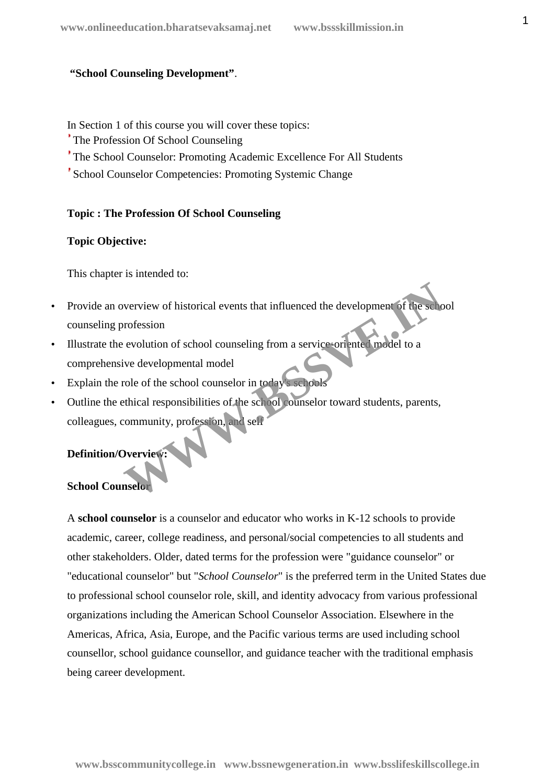#### **"School Counseling Development"**.

In Section 1 of this course you will cover these topics:

- The Profession Of School Counseling
- The School Counselor: Promoting Academic Excellence For All Students
- School Counselor Competencies: Promoting Systemic Change

## **Topic : The Profession Of School Counseling**

#### **Topic Objective:**

This chapter is intended to:

- Provide an overview of historical events that influenced the development of the counseling profession
- Illustrate the evolution of school counseling from a service-oriented model to a comprehensive developmental model
- Explain the role of the school counselor in today's schools
- Outline the ethical responsibilities of the school counselor toward students, parents, colleagues, community, profession, and self Nuevo en Estado en Estado en Estado en Estado en Estado en Estado en Estado en Estado en Estado en Estado en Estado en Estado en Estado en Estado en Estado en Estado en Estado en Estado en Estado en Estado en Estado en Est

# **Definition/Overview:**

#### **School Counselor**

A **school counselor** is a counselor and educator who works in K-12 schools to provide academic, career, college readiness, and personal/social competencies to all students and other stakeholders. Older, dated terms for the profession were "guidance counselor" or "educational counselor" but "*School Counselor*" is the preferred term in the United States due to professional school counselor role, skill, and identity advocacy from various professional organizations including the American School Counselor Association. Elsewhere in the Americas, Africa, Asia, Europe, and the Pacific various terms are used including school counsellor, school guidance counsellor, and guidance teacher with the traditional emphasis being career development.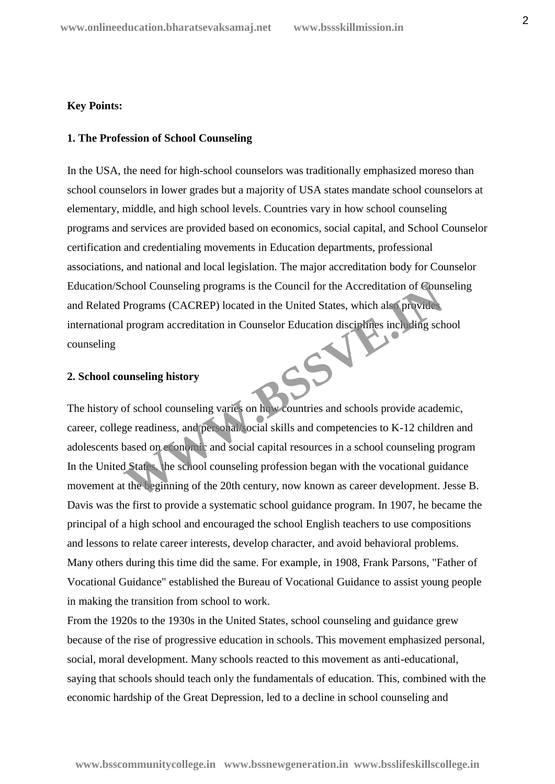#### **Key Points:**

#### **1. The Profession of School Counseling**

In the USA, the need for high-school counselors was traditionally emphasized moreso than school counselors in lower grades but a majority of USA states mandate school counselors at elementary, middle, and high school levels. Countries vary in how school counseling programs and services are provided based on economics, social capital, and School Counselor certification and credentialing movements in Education departments, professional associations, and national and local legislation. The major accreditation body for Counselor Education/School Counseling programs is the Council for the Accreditation of Counseling and Related Programs (CACREP) located in the United States, which also provides international program accreditation in Counselor Education disciplines including school counseling

#### **2. School counseling history**

The history of school counseling varies on how countries and schools provide academic, career, college readiness, and personal/social skills and competencies to K-12 children and adolescents based on economic and social capital resources in a school counseling program In the United States, the school counseling profession began with the vocational guidance movement at the beginning of the 20th century, now known as career development. Jesse B. Davis was the first to provide a systematic school guidance program. In 1907, he became the principal of a high school and encouraged the school English teachers to use compositions and lessons to relate career interests, develop character, and avoid behavioral problems. Many others during this time did the same. For example, in 1908, Frank Parsons, "Father of Vocational Guidance" established the Bureau of Vocational Guidance to assist young people in making the transition from school to work. chool Counseling programs is the Council for the Accreditation of Coun<br>Programs (CACREP) located in the United States, which also provides<br>program accreditation in Counselor Education disciplings including sch<br>program accr

From the 1920s to the 1930s in the United States, school counseling and guidance grew because of the rise of progressive education in schools. This movement emphasized personal, social, moral development. Many schools reacted to this movement as anti-educational, saying that schools should teach only the fundamentals of education. This, combined with the economic hardship of the Great Depression, led to a decline in school counseling and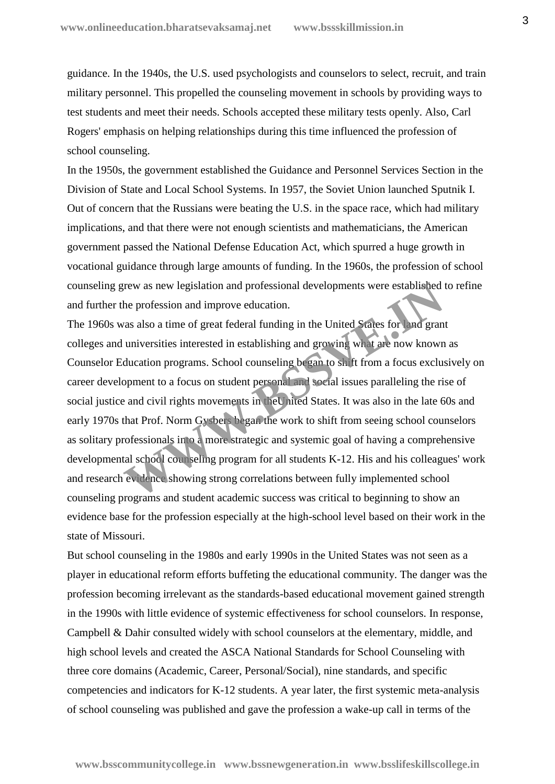guidance. In the 1940s, the U.S. used psychologists and counselors to select, recruit, and train military personnel. This propelled the counseling movement in schools by providing ways to test students and meet their needs. Schools accepted these military tests openly. Also, Carl Rogers' emphasis on helping relationships during this time influenced the profession of school counseling.

In the 1950s, the government established the Guidance and Personnel Services Section in the Division of State and Local School Systems. In 1957, the Soviet Union launched Sputnik I. Out of concern that the Russians were beating the U.S. in the space race, which had military implications, and that there were not enough scientists and mathematicians, the American government passed the National Defense Education Act, which spurred a huge growth in vocational guidance through large amounts of funding. In the 1960s, the profession of school counseling grew as new legislation and professional developments were established to refine and further the profession and improve education.

The 1960s was also a time of great federal funding in the United States for land grant colleges and universities interested in establishing and growing what are now known as Counselor Education programs. School counseling began to shift from a focus exclusively on career development to a focus on student personal and social issues paralleling the rise of social justice and civil rights movements in theUnited States. It was also in the late 60s and early 1970s that Prof. Norm Gysbers began the work to shift from seeing school counselors as solitary professionals into a more strategic and systemic goal of having a comprehensive developmental school counseling program for all students K-12. His and his colleagues' work and research evidence showing strong correlations between fully implemented school counseling programs and student academic success was critical to beginning to show an evidence base for the profession especially at the high-school level based on their work in the state of Missouri. rew as new legislation and professional developments were established<br>he profession and improve education.<br>as also a time of great federal funding in the United States for and gran<br>universities interested in establishing a

But school counseling in the 1980s and early 1990s in the United States was not seen as a player in educational reform efforts buffeting the educational community. The danger was the profession becoming irrelevant as the standards-based educational movement gained strength in the 1990s with little evidence of systemic effectiveness for school counselors. In response, Campbell & Dahir consulted widely with school counselors at the elementary, middle, and high school levels and created the ASCA National Standards for School Counseling with three core domains (Academic, Career, Personal/Social), nine standards, and specific competencies and indicators for K-12 students. A year later, the first systemic meta-analysis of school counseling was published and gave the profession a wake-up call in terms of the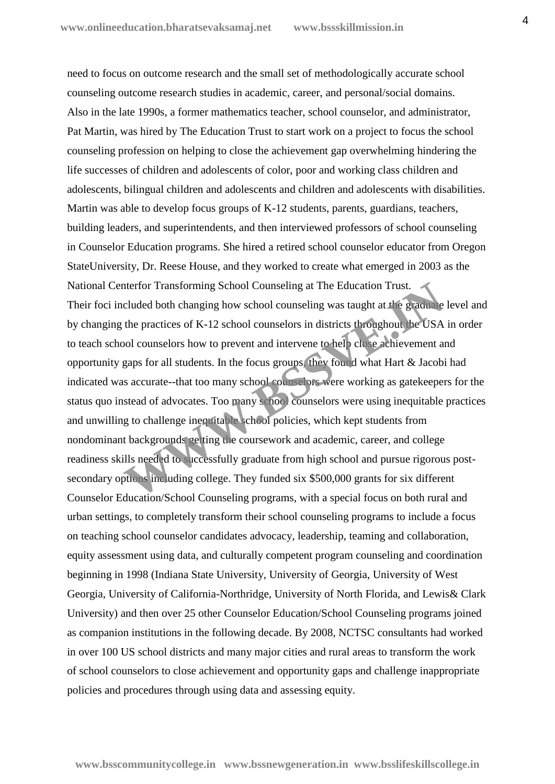need to focus on outcome research and the small set of methodologically accurate school counseling outcome research studies in academic, career, and personal/social domains. Also in the late 1990s, a former mathematics teacher, school counselor, and administrator, Pat Martin, was hired by The Education Trust to start work on a project to focus the school counseling profession on helping to close the achievement gap overwhelming hindering the life successes of children and adolescents of color, poor and working class children and adolescents, bilingual children and adolescents and children and adolescents with disabilities. Martin was able to develop focus groups of K-12 students, parents, guardians, teachers, building leaders, and superintendents, and then interviewed professors of school counseling in Counselor Education programs. She hired a retired school counselor educator from Oregon StateUniversity, Dr. Reese House, and they worked to create what emerged in 2003 as the National Centerfor Transforming School Counseling at The Education Trust. Their foci included both changing how school counseling was taught at the graduate level and by changing the practices of K-12 school counselors in districts throughout the USA in order to teach school counselors how to prevent and intervene to help close achievement and opportunity gaps for all students. In the focus groups, they found what Hart & Jacobi had indicated was accurate--that too many school counselors were working as gatekeepers for the status quo instead of advocates. Too many school counselors were using inequitable practices and unwilling to challenge inequitable school policies, which kept students from nondominant backgrounds getting the coursework and academic, career, and college readiness skills needed to successfully graduate from high school and pursue rigorous post secondary options including college. They funded six \$500,000 grants for six different Counselor Education/School Counseling programs, with a special focus on both rural and urban settings, to completely transform their school counseling programs to include a focus on teaching school counselor candidates advocacy, leadership, teaming and collaboration, equity assessment using data, and culturally competent program counseling and coordination beginning in 1998 (Indiana State University, University of Georgia, University of West Georgia, University of California-Northridge, University of North Florida, and Lewis& Clark University) and then over 25 other Counselor Education/School Counseling programs joined as companion institutions in the following decade. By 2008, NCTSC consultants had worked in over 100 US school districts and many major cities and rural areas to transform the work of school counselors to close achievement and opportunity gaps and challenge inappropriate policies and procedures through using data and assessing equity. nterfor Transforming School Counseling at The Education Trust.<br>
cluded both changing how school counseling was taught at the graduate<br>
the practices of K-12 school counselors in districts throughout the USA<br>
bol counselors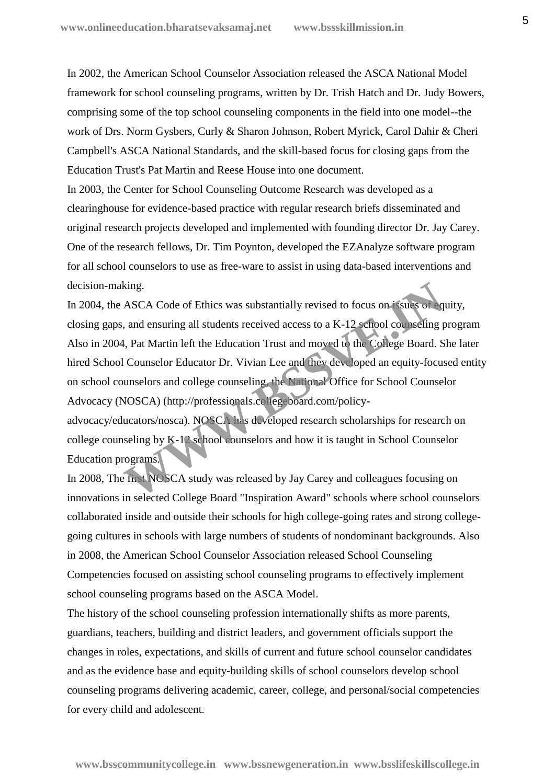In 2002, the American School Counselor Association released the ASCA National Model framework for school counseling programs, written by Dr. Trish Hatch and Dr. Judy Bowers, comprising some of the top school counseling components in the field into one model--the work of Drs. Norm Gysbers, Curly & Sharon Johnson, Robert Myrick, Carol Dahir & Cheri Campbell's ASCA National Standards, and the skill-based focus for closing gaps from the Education Trust's Pat Martin and Reese House into one document.

In 2003, the Center for School Counseling Outcome Research was developed as a clearinghouse for evidence-based practice with regular research briefs disseminated and original research projects developed and implemented with founding director Dr. Jay Carey. One of the research fellows, Dr. Tim Poynton, developed the EZAnalyze software program for all school counselors to use as free-ware to assist in using data-based interventions and decision-making.

In 2004, the ASCA Code of Ethics was substantially revised to focus on issues of equity, closing gaps, and ensuring all students received access to a K-12 school counseling program Also in 2004, Pat Martin left the Education Trust and moved to the College Board. She later hired School Counselor Educator Dr. Vivian Lee and they developed an equity-focused entity on school counselors and college counseling, the National Office for School Counselor Advocacy (NOSCA) (http://professionals.collegeboard.com/policy king.<br>
ASCA Code of Ethics was substantially revised to focus on **Essays of eq**<br>
and ensuring all students received access to a K-12 school counseling p<br>
4. Pat Martin left the Education Trust and moved to the College Boar

advocacy/educators/nosca). NOSCA has developed research scholarships for research on college counseling by K-12 school counselors and how it is taught in School Counselor Education programs.

In 2008, The first NOSCA study was released by Jay Carey and colleagues focusing on innovations in selected College Board "Inspiration Award" schools where school counselors collaborated inside and outside their schools for high college-going rates and strong college going cultures in schools with large numbers of students of nondominant backgrounds. Also in 2008, the American School Counselor Association released School Counseling Competencies focused on assisting school counseling programs to effectively implement school counseling programs based on the ASCA Model.

The history of the school counseling profession internationally shifts as more parents, guardians, teachers, building and district leaders, and government officials support the changes in roles, expectations, and skills of current and future school counselor candidates and as the evidence base and equity-building skills of school counselors develop school counseling programs delivering academic, career, college, and personal/social competencies for every child and adolescent.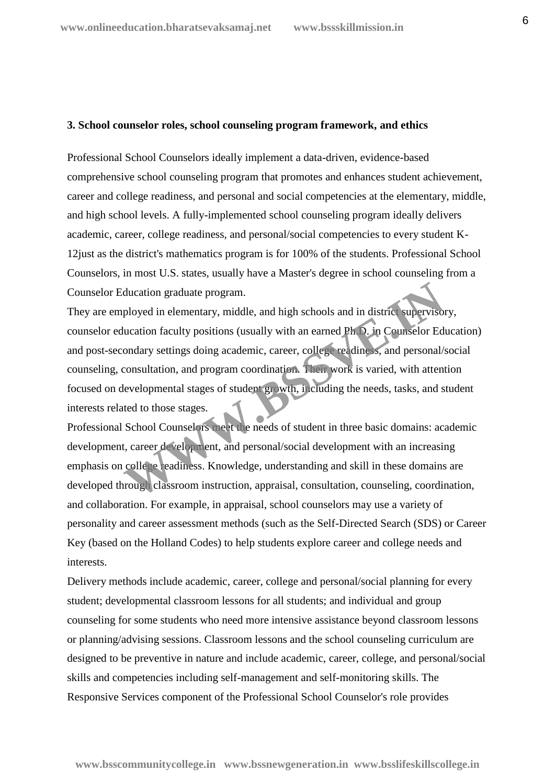#### **3. School counselor roles, school counseling program framework, and ethics**

Professional School Counselors ideally implement a data-driven, evidence-based comprehensive school counseling program that promotes and enhances student achievement, career and college readiness, and personal and social competencies at the elementary, middle, and high school levels. A fully-implemented school counseling program ideally delivers academic, career, college readiness, and personal/social competencies to every student K- 12just as the district's mathematics program is for 100% of the students. Professional School Counselors, in most U.S. states, usually have a Master's degree in school counseling from a Counselor Education graduate program.

They are employed in elementary, middle, and high schools and in district supervisory, counselor education faculty positions (usually with an earned Ph.D. in Counselor Education) and post-secondary settings doing academic, career, college readiness, and personal/social counseling, consultation, and program coordination. Their work is varied, with attention focused on developmental stages of student growth, including the needs, tasks, and student interests related to those stages. ducation graduate program.<br>
ployed in elementary, middle, and high schools and in district superviso<br>
lucation faculty positions (usually with an earned Ph. D.) in Counselor Ed<br>
ondary settings doing academic, career, coll

Professional School Counselors meet the needs of student in three basic domains: academic development, career development, and personal/social development with an increasing emphasis on college readiness. Knowledge, understanding and skill in these domains are developed through classroom instruction, appraisal, consultation, counseling, coordination, and collaboration. For example, in appraisal, school counselors may use a variety of personality and career assessment methods (such as the Self-Directed Search (SDS) or Career Key (based on the Holland Codes) to help students explore career and college needs and interests.

Delivery methods include academic, career, college and personal/social planning for every student; developmental classroom lessons for all students; and individual and group counseling for some students who need more intensive assistance beyond classroom lessons or planning/advising sessions. Classroom lessons and the school counseling curriculum are designed to be preventive in nature and include academic, career, college, and personal/social skills and competencies including self-management and self-monitoring skills. The Responsive Services component of the Professional School Counselor's role provides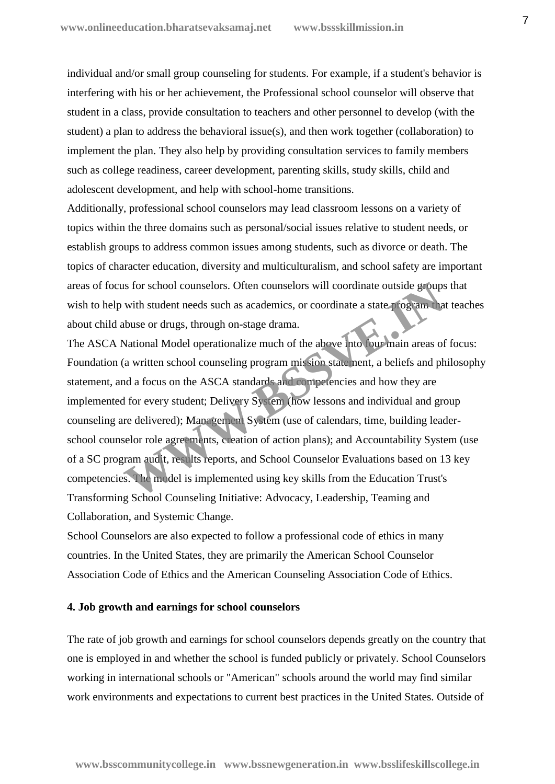individual and/or small group counseling for students. For example, if a student's behavior is interfering with his or her achievement, the Professional school counselor will observe that student in a class, provide consultation to teachers and other personnel to develop (with the student) a plan to address the behavioral issue(s), and then work together (collaboration) to implement the plan. They also help by providing consultation services to family members such as college readiness, career development, parenting skills, study skills, child and adolescent development, and help with school-home transitions.

Additionally, professional school counselors may lead classroom lessons on a variety of topics within the three domains such as personal/social issues relative to student needs, or establish groups to address common issues among students, such as divorce or death. The topics of character education, diversity and multiculturalism, and school safety are important areas of focus for school counselors. Often counselors will coordinate outside groups that wish to help with student needs such as academics, or coordinate a state program that teaches about child abuse or drugs, through on-stage drama.

The ASCA National Model operationalize much of the above into four main areas of focus: Foundation (a written school counseling program mission statement, a beliefs and philosophy statement, and a focus on the ASCA standards and competencies and how they are implemented for every student; Delivery System (how lessons and individual and group counseling are delivered); Management System (use of calendars, time, building leader school counselor role agreements, creation of action plans); and Accountability System (use of a SC program audit, results reports, and School Counselor Evaluations based on 13 key competencies. The model is implemented using key skills from the Education Trust's Transforming School Counseling Initiative: Advocacy, Leadership, Teaming and Collaboration, and Systemic Change. It is the model is implemented using key skills from the Education Trust's<br>
School Counseling Initiative: Advocacy Leadershin Teaming and<br>
School Counseling program mission state nent, a beliefs and ph<br>
Mational Model oper

School Counselors are also expected to follow a professional code of ethics in many countries. In the United States, they are primarily the American School Counselor Association Code of Ethics and the American Counseling Association Code of Ethics.

#### **4. Job growth and earnings for school counselors**

The rate of job growth and earnings for school counselors depends greatly on the country that one is employed in and whether the school is funded publicly or privately. School Counselors working in international schools or "American" schools around the world may find similar work environments and expectations to current best practices in the United States. Outside of

7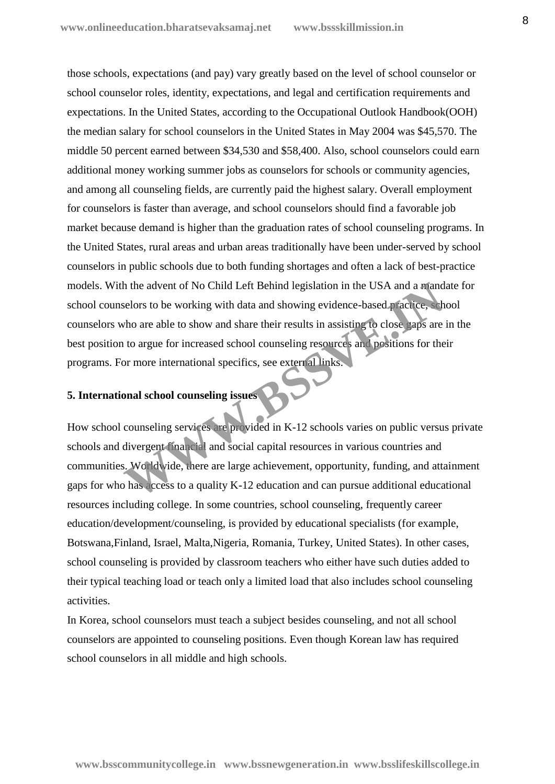those schools, expectations (and pay) vary greatly based on the level of school counselor or school counselor roles, identity, expectations, and legal and certification requirements and expectations. In the United States, according to the Occupational Outlook Handbook(OOH) the median salary for school counselors in the United States in May 2004 was \$45,570. The middle 50 percent earned between \$34,530 and \$58,400. Also, school counselors could earn additional money working summer jobs as counselors for schools or community agencies, and among all counseling fields, are currently paid the highest salary. Overall employment for counselors is faster than average, and school counselors should find a favorable job market because demand is higher than the graduation rates of school counseling programs. In the United States, rural areas and urban areas traditionally have been under-served by school counselors in public schools due to both funding shortages and often a lack of best-practice models. With the advent of No Child Left Behind legislation in the USA and a mandate for school counselors to be working with data and showing evidence-based practice, school counselors who are able to show and share their results in assisting to close gaps are in the best position to argue for increased school counseling resources and positions for their programs. For more international specifics, see external links. The advent of No Child Left Behind legislation in the USA and a mand<br>
selors to be working with data and showing evidence-based<sub>-1</sub> actice, sch<br>
who are able to show and share their results in assisting to close eaps are<br>

# **5. International school counseling issues**

How school counseling services are provided in K-12 schools varies on public versus private schools and divergent financial and social capital resources in various countries and communities. Worldwide, there are large achievement, opportunity, funding, and attainment gaps for who has access to a quality K-12 education and can pursue additional educational resources including college. In some countries, school counseling, frequently career education/development/counseling, is provided by educational specialists (for example, Botswana,Finland, Israel, Malta,Nigeria, Romania, Turkey, United States). In other cases, school counseling is provided by classroom teachers who either have such duties added to their typical teaching load or teach only a limited load that also includes school counseling activities.

In Korea, school counselors must teach a subject besides counseling, and not all school counselors are appointed to counseling positions. Even though Korean law has required school counselors in all middle and high schools.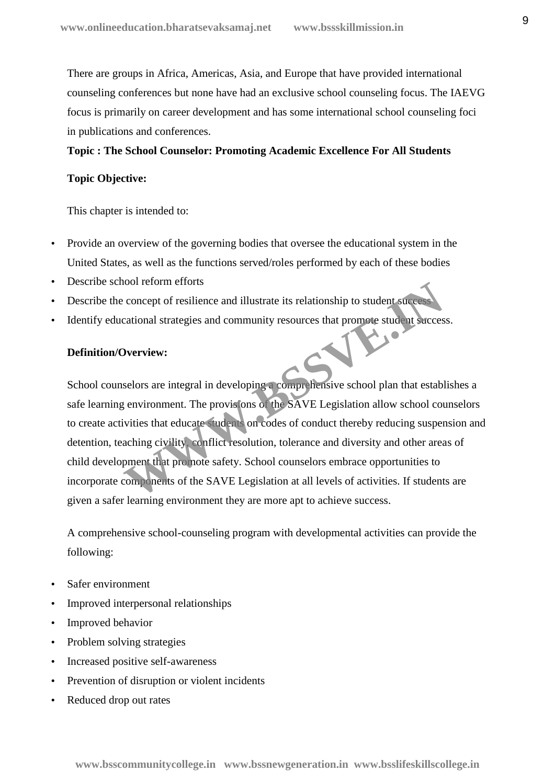There are groups in Africa, Americas, Asia, and Europe that have provided international counseling conferences but none have had an exclusive school counseling focus. The IAEVG focus is primarily on career development and has some international school counseling foci in publications and conferences.

#### **Topic : The School Counselor: Promoting Academic Excellence For All Students**

## **Topic Objective:**

This chapter is intended to:

- Provide an overview of the governing bodies that oversee the educational system in the United States, as well as the functions served/roles performed by each of these bodies
- Describe school reform efforts
- Describe the concept of resilience and illustrate its relationship to student succe
- Identify educational strategies and community resources that promote student success.

#### **Definition/Overview:**

School counselors are integral in developing a comprehensive school plan that establishes a safe learning environment. The provisions of the SAVE Legislation allow school counselors to create activities that educate students on codes of conduct thereby reducing suspension and detention, teaching civility, conflict resolution, tolerance and diversity and other areas of child development that promote safety. School counselors embrace opportunities to incorporate components of the SAVE Legislation at all levels of activities. If students are given a safer learning environment they are more apt to achieve success. concept of resilience and illustrate its relationship to student successes<br>cational strategies and community resources that promote student success<br>Dverview:<br>Selors are integral in developing a comprehensive school plan th

A comprehensive school-counseling program with developmental activities can provide the following:

- Safer environment
- Improved interpersonal relationships
- Improved behavior
- Problem solving strategies
- Increased positive self-awareness
- Prevention of disruption or violent incidents
- Reduced drop out rates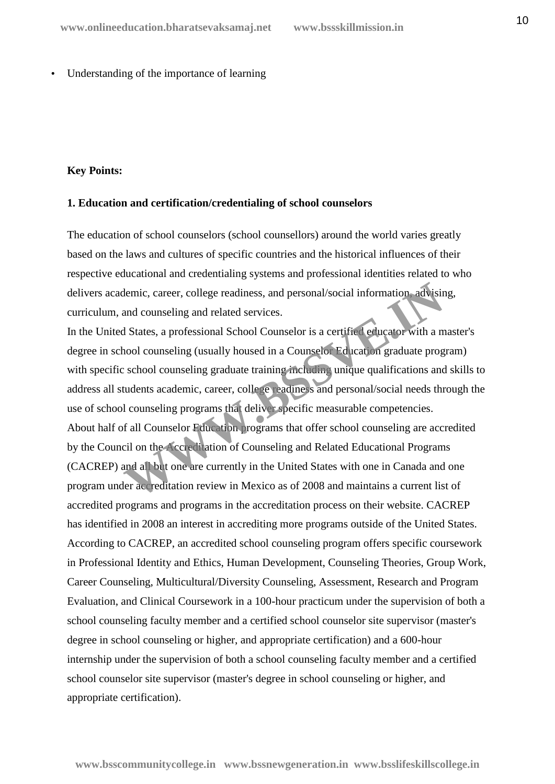#### Understanding of the importance of learning

#### **Key Points:**

#### **1. Education and certification/credentialing of school counselors**

The education of school counselors (school counsellors) around the world varies greatly based on the laws and cultures of specific countries and the historical influences of their respective educational and credentialing systems and professional identities related to who delivers academic, career, college readiness, and personal/social information, advising, curriculum, and counseling and related services.

In the United States, a professional School Counselor is a certified educator with a master's degree in school counseling (usually housed in a Counselor Education graduate program) with specific school counseling graduate training including unique qualifications and skills to address all students academic, career, college readiness and personal/social needs through the use of school counseling programs that deliver specific measurable competencies. About half of all Counselor Education programs that offer school counseling are accredited by the Council on the Accreditation of Counseling and Related Educational Programs (CACREP) and all but one are currently in the United States with one in Canada and one program under accreditation review in Mexico as of 2008 and maintains a current list of accredited programs and programs in the accreditation process on their website. CACREP has identified in 2008 an interest in accrediting more programs outside of the United States. According to CACREP, an accredited school counseling program offers specific coursework in Professional Identity and Ethics, Human Development, Counseling Theories, Group Work, Career Counseling, Multicultural/Diversity Counseling, Assessment, Research and Program Evaluation, and Clinical Coursework in a 100-hour practicum under the supervision of both a school counseling faculty member and a certified school counselor site supervisor (master's degree in school counseling or higher, and appropriate certification) and a 600-hour internship under the supervision of both a school counseling faculty member and a certified school counselor site supervisor (master's degree in school counseling or higher, and appropriate certification). demic, career, college readiness, and personal/social information, advisionand counseling and related services.<br>
I States, a professional School Counselor is a certific delucator with a mool counseling (usually housed in a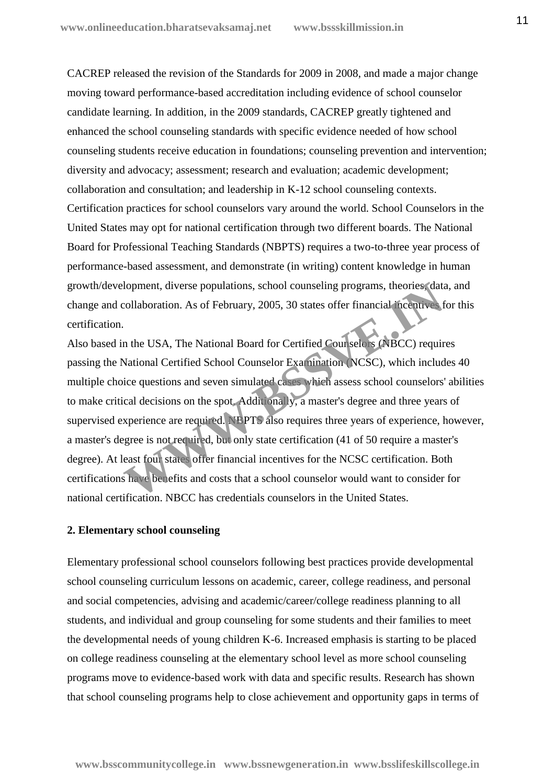CACREP released the revision of the Standards for 2009 in 2008, and made a major change moving toward performance-based accreditation including evidence of school counselor candidate learning. In addition, in the 2009 standards, CACREP greatly tightened and enhanced the school counseling standards with specific evidence needed of how school counseling students receive education in foundations; counseling prevention and intervention; diversity and advocacy; assessment; research and evaluation; academic development; collaboration and consultation; and leadership in K-12 school counseling contexts. Certification practices for school counselors vary around the world. School Counselors in the United States may opt for national certification through two different boards. The National Board for Professional Teaching Standards (NBPTS) requires a two-to-three year process of performance-based assessment, and demonstrate (in writing) content knowledge in human growth/development, diverse populations, school counseling programs, theories, data, and change and collaboration. As of February, 2005, 30 states offer financial incentives for this certification.

Also based in the USA, The National Board for Certified Counselors (NBCC) requires passing the National Certified School Counselor Examination (NCSC), which includes 40 multiple choice questions and seven simulated cases which assess school counselors' abilities to make critical decisions on the spot. Additionally, a master's degree and three years of supervised experience are required. NBPTS also requires three years of experience, however, a master's degree is not required, but only state certification (41 of 50 require a master's degree). At least four states offer financial incentives for the NCSC certification. Both certifications have benefits and costs that a school counselor would want to consider for national certification. NBCC has credentials counselors in the United States. Iopment, diverse populations, school counseling programs, theories, data<br>
collaboration. As of February, 2005, 30 states offer financial incentive<br>
In the USA, The National Board for Certified Counselo's (NBCC) require<br>
Na

#### **2. Elementary school counseling**

Elementary professional school counselors following best practices provide developmental school counseling curriculum lessons on academic, career, college readiness, and personal and social competencies, advising and academic/career/college readiness planning to all students, and individual and group counseling for some students and their families to meet the developmental needs of young children K-6. Increased emphasis is starting to be placed on college readiness counseling at the elementary school level as more school counseling programs move to evidence-based work with data and specific results. Research has shown that school counseling programs help to close achievement and opportunity gaps in terms of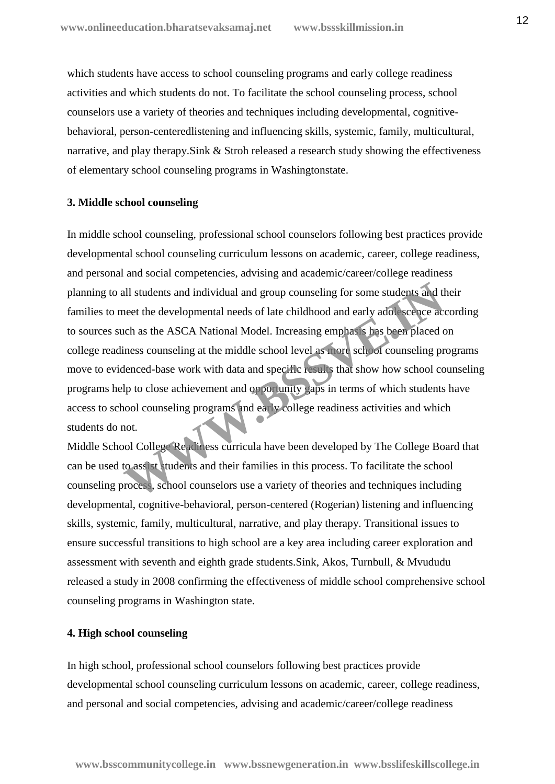which students have access to school counseling programs and early college readiness activities and which students do not. To facilitate the school counseling process, school counselors use a variety of theories and techniques including developmental, cognitive behavioral, person-centeredlistening and influencing skills, systemic, family, multicultural, narrative, and play therapy.Sink & Stroh released a research study showing the effectiveness of elementary school counseling programs in Washingtonstate.

#### **3. Middle school counseling**

In middle school counseling, professional school counselors following best practices provide developmental school counseling curriculum lessons on academic, career, college readiness, and personal and social competencies, advising and academic/career/college readiness planning to all students and individual and group counseling for some students and their families to meet the developmental needs of late childhood and early adolescence according to sources such as the ASCA National Model. Increasing emphasis has been placed on college readiness counseling at the middle school level as more school counseling programs move to evidenced-base work with data and specific results that show how school counseling programs help to close achievement and opportunity gaps in terms of which students have access to school counseling programs and early college readiness activities and which students do not. all students and individual and group counseling for some students and the<br>eart the developmental needs of late childhood and early adolescence act<br>chase the ASCA National Model. Increasing emphases that show have school c

Middle School College Readiness curricula have been developed by The College Board that can be used to assist students and their families in this process. To facilitate the school counseling process, school counselors use a variety of theories and techniques including developmental, cognitive-behavioral, person-centered (Rogerian) listening and influencing skills, systemic, family, multicultural, narrative, and play therapy. Transitional issues to ensure successful transitions to high school are a key area including career exploration and assessment with seventh and eighth grade students.Sink, Akos, Turnbull, & Mvududu released a study in 2008 confirming the effectiveness of middle school comprehensive school counseling programs in Washington state.

#### **4. High school counseling**

In high school, professional school counselors following best practices provide developmental school counseling curriculum lessons on academic, career, college readiness, and personal and social competencies, advising and academic/career/college readiness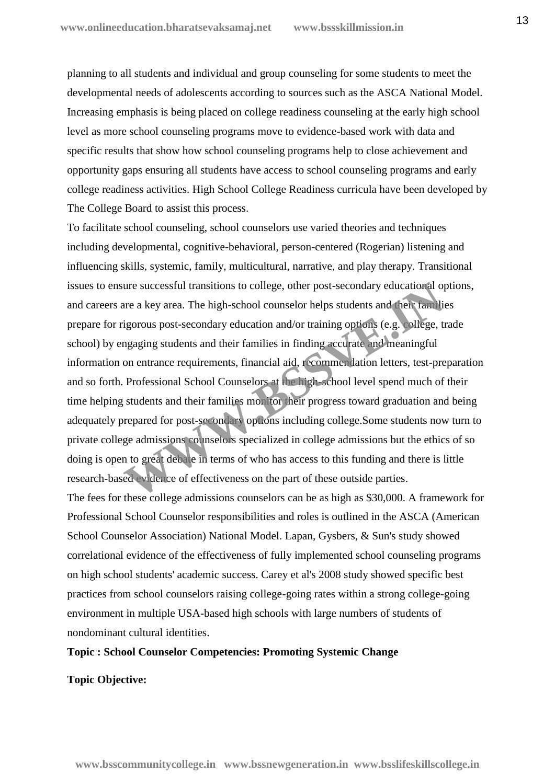planning to all students and individual and group counseling for some students to meet the developmental needs of adolescents according to sources such as the ASCA National Model. Increasing emphasis is being placed on college readiness counseling at the early high school level as more school counseling programs move to evidence-based work with data and specific results that show how school counseling programs help to close achievement and opportunity gaps ensuring all students have access to school counseling programs and early college readiness activities. High School College Readiness curricula have been developed by The College Board to assist this process.

To facilitate school counseling, school counselors use varied theories and techniques including developmental, cognitive-behavioral, person-centered (Rogerian) listening and influencing skills, systemic, family, multicultural, narrative, and play therapy. Transitional issues to ensure successful transitions to college, other post-secondary educational options, and careers are a key area. The high-school counselor helps students and their families prepare for rigorous post-secondary education and/or training options (e.g. college, trade school) by engaging students and their families in finding accurate and meaningful information on entrance requirements, financial aid, recommendation letters, test-preparation and so forth. Professional School Counselors at the high-school level spend much of their time helping students and their families monitor their progress toward graduation and being adequately prepared for post-secondary options including college.Some students now turn to private college admissions counselors specialized in college admissions but the ethics of so doing is open to great debate in terms of who has access to this funding and there is little research-based evidence of effectiveness on the part of these outside parties. The fees for these college admissions counselors can be as high as \$30,000. A framework for are a key area. The high-school counselor helps students and their ramilitigorous post-secondary education and/or training options (e.g. college, the magaing students and their families in finding accurate and meaningful o

Professional School Counselor responsibilities and roles is outlined in the ASCA (American School Counselor Association) National Model. Lapan, Gysbers, & Sun's study showed correlational evidence of the effectiveness of fully implemented school counseling programs on high school students' academic success. Carey et al's 2008 study showed specific best practices from school counselors raising college-going rates within a strong college-going environment in multiple USA-based high schools with large numbers of students of nondominant cultural identities.

## **Topic : School Counselor Competencies: Promoting Systemic Change**

#### **Topic Objective:**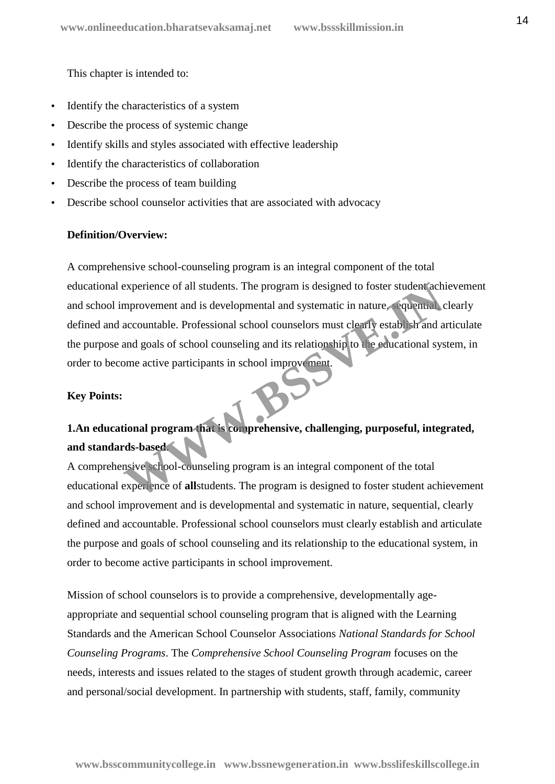This chapter is intended to:

- Identify the characteristics of a system
- Describe the process of systemic change
- Identify skills and styles associated with effective leadership
- Identify the characteristics of collaboration
- Describe the process of team building
- Describe school counselor activities that are associated with advocacy

#### **Definition/Overview:**

A comprehensive school-counseling program is an integral component of the total educational experience of all students. The program is designed to foster student achievement and school improvement and is developmental and systematic in nature, sequential, clearly defined and accountable. Professional school counselors must clearly establish and articulate the purpose and goals of school counseling and its relationship to the educational system, in order to become active participants in school improvement. Experience of all students. The program is designed to foster student ach<br>
mprovement and is developmental and systematic in nature, equenual<br>
accountable. Professional school counselors must clearly establish and a<br>
and g

## **Key Points:**

# **1.An educational program that is comprehensive, challenging, purposeful, integrated, and standards-based.**

A comprehensive school-counseling program is an integral component of the total educational experience of **all**students. The program is designed to foster student achievement and school improvement and is developmental and systematic in nature, sequential, clearly defined and accountable. Professional school counselors must clearly establish and articulate the purpose and goals of school counseling and its relationship to the educational system, in order to become active participants in school improvement.

Mission of school counselors is to provide a comprehensive, developmentally age appropriate and sequential school counseling program that is aligned with the Learning Standards and the American School Counselor Associations *National Standards for School Counseling Programs*. The *Comprehensive School Counseling Program* focuses on the needs, interests and issues related to the stages of student growth through academic, career and personal/social development. In partnership with students, staff, family, community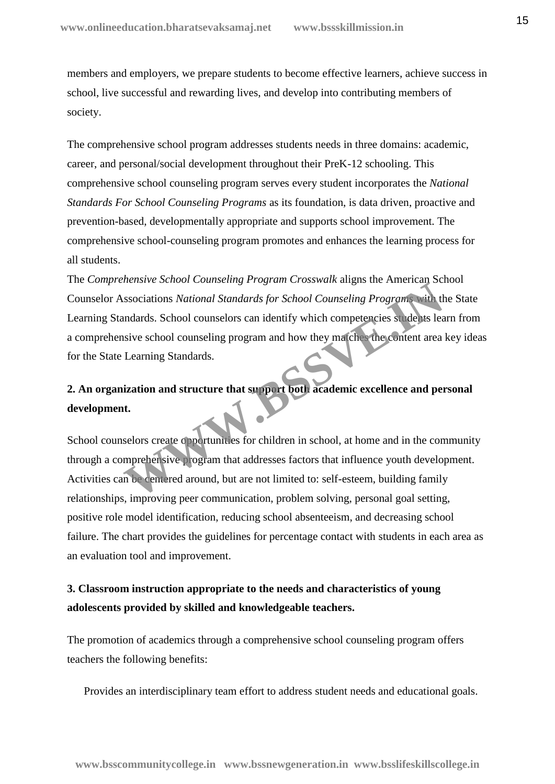members and employers, we prepare students to become effective learners, achieve success in school, live successful and rewarding lives, and develop into contributing members of society.

The comprehensive school program addresses students needs in three domains: academic, career, and personal/social development throughout their PreK-12 schooling. This comprehensive school counseling program serves every student incorporates the *National Standards For School Counseling Programs* as its foundation, is data driven, proactive and prevention-based, developmentally appropriate and supports school improvement. The comprehensive school-counseling program promotes and enhances the learning process for all students.

The *Comprehensive School Counseling Program Crosswalk* aligns the American School Counselor Associations *National Standards for School Counseling Programs* with the State Learning Standards. School counselors can identify which competencies students learn from a comprehensive school counseling program and how they matches the content area key ideas for the State Learning Standards. Metally Frogram CrossRat angles are Financial between the seasociations National Standards for School Counseling Program with the dents least to selve school counseling program and how they matches the content area Learnin

# **2. An organization and structure that support both academic excellence and personal development.**

School counselors create opportunities for children in school, at home and in the community through a comprehensive program that addresses factors that influence youth development. Activities can be centered around, but are not limited to: self-esteem, building family relationships, improving peer communication, problem solving, personal goal setting, positive role model identification, reducing school absenteeism, and decreasing school failure. The chart provides the guidelines for percentage contact with students in each area as an evaluation tool and improvement.

# **3. Classroom instruction appropriate to the needs and characteristics of young adolescents provided by skilled and knowledgeable teachers.**

The promotion of academics through a comprehensive school counseling program offers teachers the following benefits:

Provides an interdisciplinary team effort to address student needs and educational goals.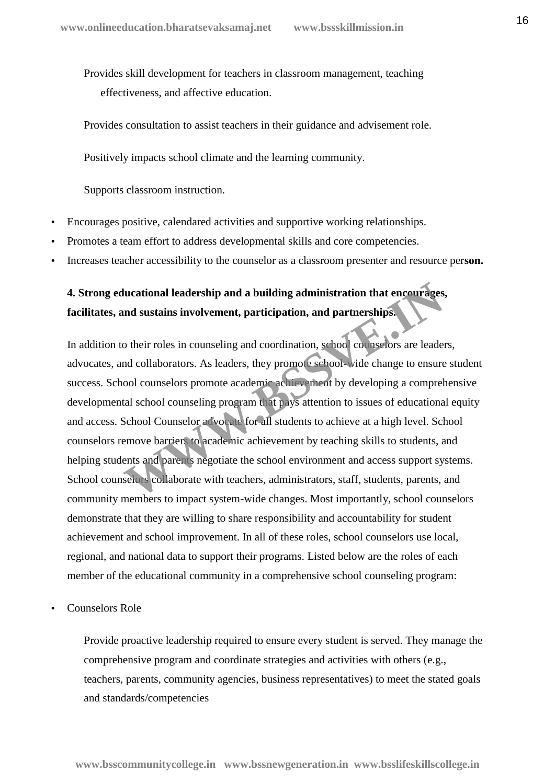Provides skill development for teachers in classroom management, teaching effectiveness, and affective education.

Provides consultation to assist teachers in their guidance and advisement role.

Positively impacts school climate and the learning community.

Supports classroom instruction.

- Encourages positive, calendared activities and supportive working relationships.
- Promotes a team effort to address developmental skills and core competencies.
- Increases teacher accessibility to the counselor as a classroom presenter and resource per**son.**

# **4. Strong educational leadership and a building administration that encourages, facilitates, and sustains involvement, participation, and partnerships.**

In addition to their roles in counseling and coordination, school counselors are leaders, advocates, and collaborators. As leaders, they promote school-wide change to ensure student success. School counselors promote academic achievement by developing a comprehensive developmental school counseling program that pays attention to issues of educational equity and access. School Counselor advocate for all students to achieve at a high level. School counselors remove barriers to academic achievement by teaching skills to students, and helping students and parents negotiate the school environment and access support systems. School counselors collaborate with teachers, administrators, staff, students, parents, and community members to impact system-wide changes. Most importantly, school counselors demonstrate that they are willing to share responsibility and accountability for student achievement and school improvement. In all of these roles, school counselors use local, regional, and national data to support their programs. Listed below are the roles of each member of the educational community in a comprehensive school counseling program: Internal leadership and a building administration that encourages<br>
and sustains involvement, participation, and partnerships.<br>
O their roles in counseling and coordination, school counselors are leader<br>
and collaborators.

Counselors Role

Provide proactive leadership required to ensure every student is served. They manage the comprehensive program and coordinate strategies and activities with others (e.g., teachers, parents, community agencies, business representatives) to meet the stated goals and standards/competencies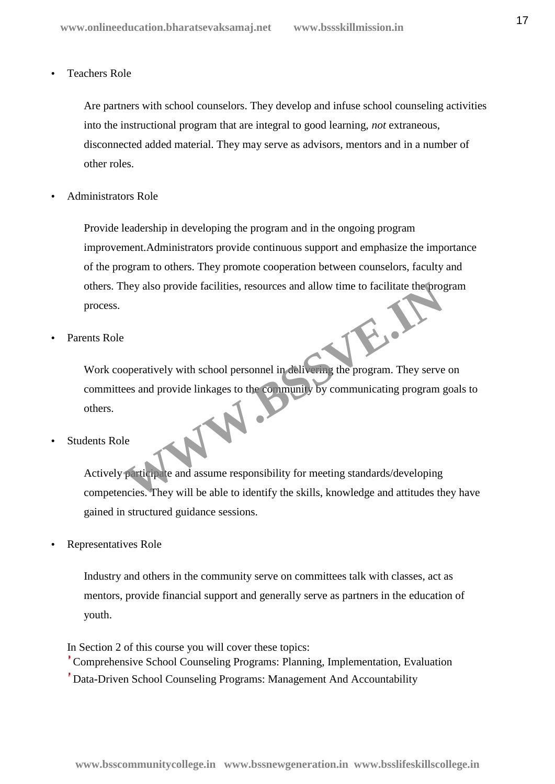# Teachers Role

Are partners with school counselors. They develop and infuse school counseling activities into the instructional program that are integral to good learning, *not* extraneous, disconnected added material. They may serve as advisors, mentors and in a number of other roles.

Administrators Role

Provide leadership in developing the program and in the ongoing program improvement.Administrators provide continuous support and emphasize the importance of the program to others. They promote cooperation between counselors, faculty and others. They also provide facilities, resources and allow time to facilitate the program process.

Parents Role

Work cooperatively with school personnel in delivering the program. They serve on committees and provide linkages to the community by communicating program goals to others. They also provide facilities, resources and allow time to facilitate the properatively with school personnel in delivering the program. They serve<br>ees and provide linkages to the community by communicating program g<br>le<br>par

Students Role

Actively participate and assume responsibility for meeting standards/developing competencies. They will be able to identify the skills, knowledge and attitudes they have gained in structured guidance sessions.

Representatives Role

Industry and others in the community serve on committees talk with classes, act as mentors, provide financial support and generally serve as partners in the education of youth.

In Section 2 of this course you will cover these topics:

Comprehensive School Counseling Programs: Planning, Implementation, Evaluation

Data-Driven School Counseling Programs: Management And Accountability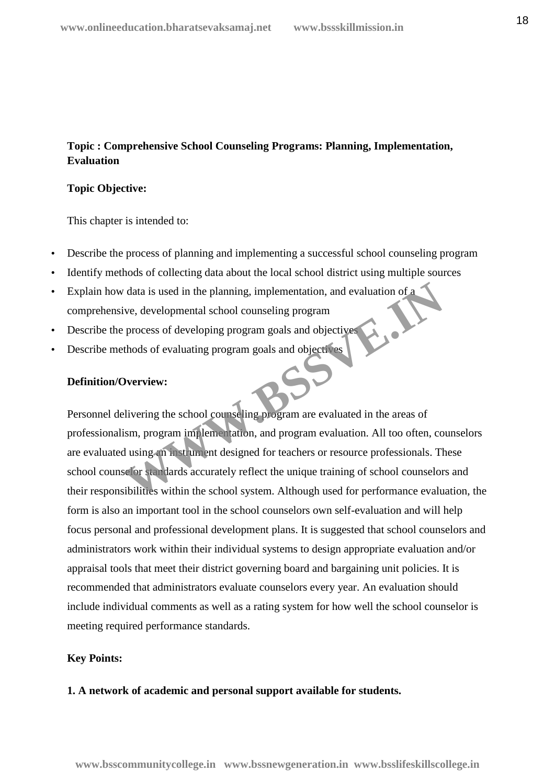# **Topic : Comprehensive School Counseling Programs: Planning, Implementation, Evaluation**

#### **Topic Objective:**

This chapter is intended to:

- Describe the process of planning and implementing a successful school counseling program
- Identify methods of collecting data about the local school district using multiple sources
- Explain how data is used in the planning, implementation, and evaluation of a comprehensive, developmental school counseling program
- Describe the process of developing program goals and objectives
- Describe methods of evaluating program goals and objectives

#### **Definition/Overview:**

Personnel delivering the school counseling program are evaluated in the areas of professionalism, program implementation, and program evaluation. All too often, counselors are evaluated using an instrument designed for teachers or resource professionals. These school counselor standards accurately reflect the unique training of school counselors and their responsibilities within the school system. Although used for performance evaluation, the form is also an important tool in the school counselors own self-evaluation and will help focus personal and professional development plans. It is suggested that school counselors and administrators work within their individual systems to design appropriate evaluation and/or appraisal tools that meet their district governing board and bargaining unit policies. It is recommended that administrators evaluate counselors every year. An evaluation should include individual comments as well as a rating system for how well the school counselor is meeting required performance standards. The vertical standards accurately reflect the unique training of school counseling program<br>
Process of developing program goals and objectives<br> **Werview:**<br> **Werview:**<br> **Werview:**<br> **Werview:**<br> **Werview:**<br> **Werview:**<br> **Wervi** 

#### **Key Points:**

#### **1. A network of academic and personal support available for students.**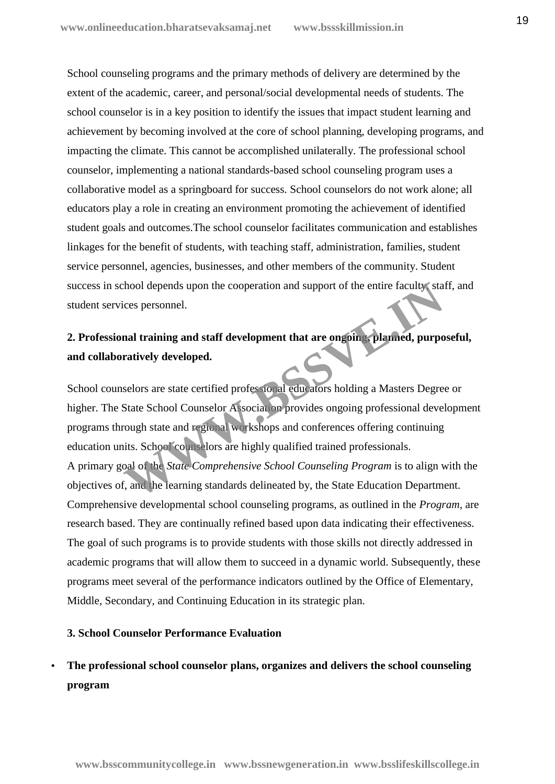School counseling programs and the primary methods of delivery are determined by the extent of the academic, career, and personal/social developmental needs of students. The school counselor is in a key position to identify the issues that impact student learning and achievement by becoming involved at the core of school planning, developing programs, and impacting the climate. This cannot be accomplished unilaterally. The professional school counselor, implementing a national standards-based school counseling program uses a collaborative model as a springboard for success. School counselors do not work alone; all educators play a role in creating an environment promoting the achievement of identified student goals and outcomes.The school counselor facilitates communication and establishes linkages for the benefit of students, with teaching staff, administration, families, student service personnel, agencies, businesses, and other members of the community. Student success in school depends upon the cooperation and support of the entire faculty, staff, and student services personnel.

# **2. Professional training and staff development that are ongoing, planned, purposeful, and collaboratively developed.**

School counselors are state certified professional educators holding a Masters Degree or higher. The State School Counselor Association provides ongoing professional development programs through state and regional workshops and conferences offering continuing education units. School counselors are highly qualified trained professionals. A primary goal of the *State Comprehensive School Counseling Program* is to align with the objectives of, and the learning standards delineated by, the State Education Department. Comprehensive developmental school counseling programs, as outlined in the *Program*, are research based. They are continually refined based upon data indicating their effectiveness. The goal of such programs is to provide students with those skills not directly addressed in academic programs that will allow them to succeed in a dynamic world. Subsequently, these programs meet several of the performance indicators outlined by the Office of Elementary, Middle, Secondary, and Continuing Education in its strategic plan. the spending and staff development that are ongoineed the entire faculty state ces personnel.<br> **WE are spending and staff development that are ongoineed, purporatively developed.**<br>
Selors are state certified professional e

#### **3. School Counselor Performance Evaluation**

 **The professional school counselor plans, organizes and delivers the school counseling program**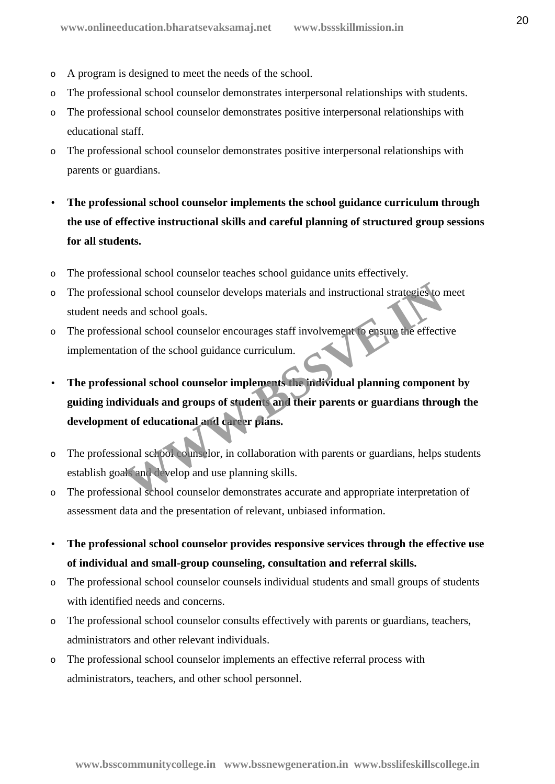- o A program is designed to meet the needs of the school.
- o The professional school counselor demonstrates interpersonal relationships with students.
- o The professional school counselor demonstrates positive interpersonal relationships with educational staff.
- o The professional school counselor demonstrates positive interpersonal relationships with parents or guardians.
- **The professional school counselor implements the school guidance curriculum through the use of effective instructional skills and careful planning of structured group sessions for all students.**
- o The professional school counselor teaches school guidance units effectively.
- o The professional school counselor develops materials and instructional strategies to meet student needs and school goals.
- o The professional school counselor encourages staff involvement to ensure the effective implementation of the school guidance curriculum.
- **The professional school counselor implements the individual planning component by guiding individuals and groups of students and their parents or guardians through the development of educational and career plans.** onal school counselor develops materials and instructional strategies to is and school goals.<br>
onal school counselor encourages staff involvement to ensure the effection of the school guidance curriculum.<br> **WEW.**<br> **WEW.**<br>
- o The professional school counselor, in collaboration with parents or guardians, helps students establish goals and develop and use planning skills.
- o The professional school counselor demonstrates accurate and appropriate interpretation of assessment data and the presentation of relevant, unbiased information.
- **The professional school counselor provides responsive services through the effective use of individual and small-group counseling, consultation and referral skills.**
- o The professional school counselor counsels individual students and small groups of students with identified needs and concerns.
- o The professional school counselor consults effectively with parents or guardians, teachers, administrators and other relevant individuals.
- o The professional school counselor implements an effective referral process with administrators, teachers, and other school personnel.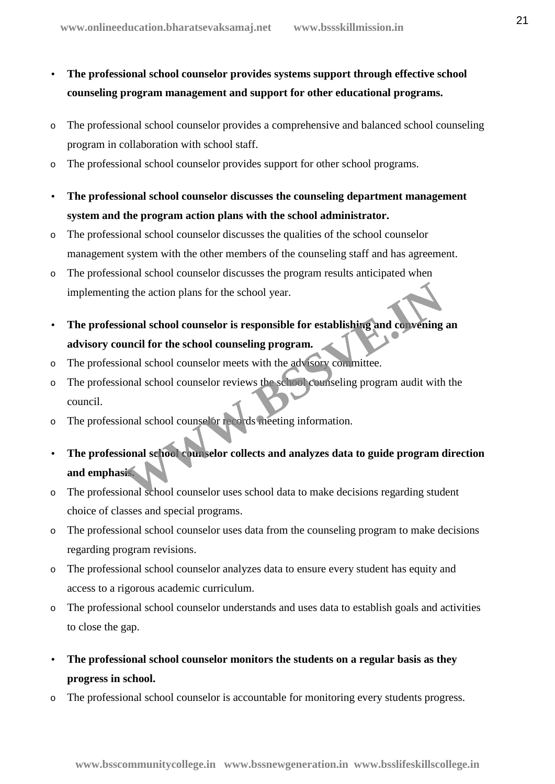# **The professional school counselor provides systems support through effective school counseling program management and support for other educational programs.**

- o The professional school counselor provides a comprehensive and balanced school counseling program in collaboration with school staff.
- o The professional school counselor provides support for other school programs.
- **The professional school counselor discusses the counseling department management system and the program action plans with the school administrator.**
- o The professional school counselor discusses the qualities of the school counselor management system with the other members of the counseling staff and has agreement.
- o The professional school counselor discusses the program results anticipated when implementing the action plans for the school year.
- **The professional school counselor is responsible for establishing and convening an advisory council for the school counseling program.**
- o The professional school counselor meets with the advisory committee.
- o The professional school counselor reviews the school counseling program audit with the council. In the action plans for the school year.<br> **Example: In the school counselor is responsible for establishing and convening**<br>
Uncertainty and school counselor mets with the advisory committee.<br>
Onal school counselor reviews
- o The professional school counselor records meeting information.
- **The professional school counselor collects and analyzes data to guide program direction and emphasis.**
- o The professional school counselor uses school data to make decisions regarding student choice of classes and special programs.
- o The professional school counselor uses data from the counseling program to make decisions regarding program revisions.
- o The professional school counselor analyzes data to ensure every student has equity and access to a rigorous academic curriculum.
- o The professional school counselor understands and uses data to establish goals and activities to close the gap.
- **The professional school counselor monitors the students on a regular basis as they progress in school.**
- o The professional school counselor is accountable for monitoring every students progress.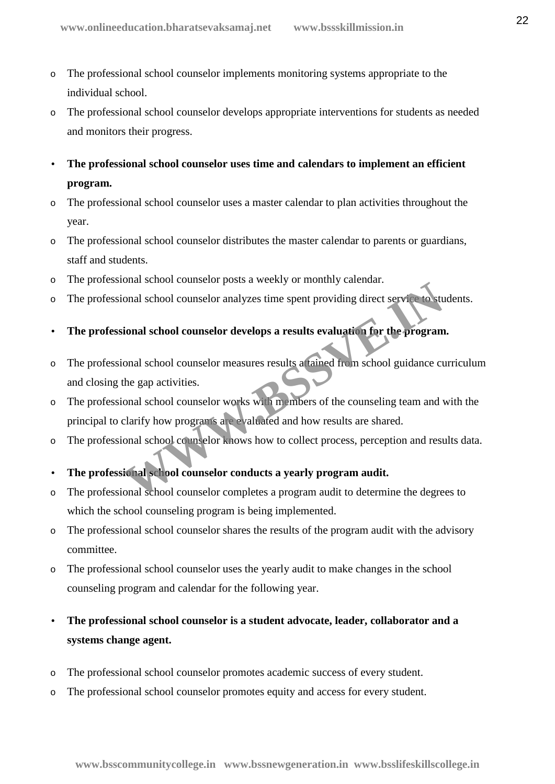- o The professional school counselor implements monitoring systems appropriate to the individual school.
- o The professional school counselor develops appropriate interventions for students as needed and monitors their progress.
- **The professional school counselor uses time and calendars to implement an efficient program.**
- o The professional school counselor uses a master calendar to plan activities throughout the year.
- o The professional school counselor distributes the master calendar to parents or guardians, staff and students.
- o The professional school counselor posts a weekly or monthly calendar.
- o The professional school counselor analyzes time spent providing direct service to students.
- **The professional school counselor develops a results evaluation for the program.**
- o The professional school counselor measures results attained from school guidance curriculum and closing the gap activities. The program school counselor posts a weekly of monthly direct service to studies and school counselor develops a results evaluation for the program onal school counselor measures results attained from school guidance cut t
- o The professional school counselor works with members of the counseling team and with the principal to clarify how programs are evaluated and how results are shared.
- o The professional school counselor knows how to collect process, perception and results data.
- **The professional school counselor conducts a yearly program audit.**
- o The professional school counselor completes a program audit to determine the degrees to which the school counseling program is being implemented.
- o The professional school counselor shares the results of the program audit with the advisory committee.
- o The professional school counselor uses the yearly audit to make changes in the school counseling program and calendar for the following year.
- **The professional school counselor is a student advocate, leader, collaborator and a systems change agent.**
- o The professional school counselor promotes academic success of every student.
- o The professional school counselor promotes equity and access for every student.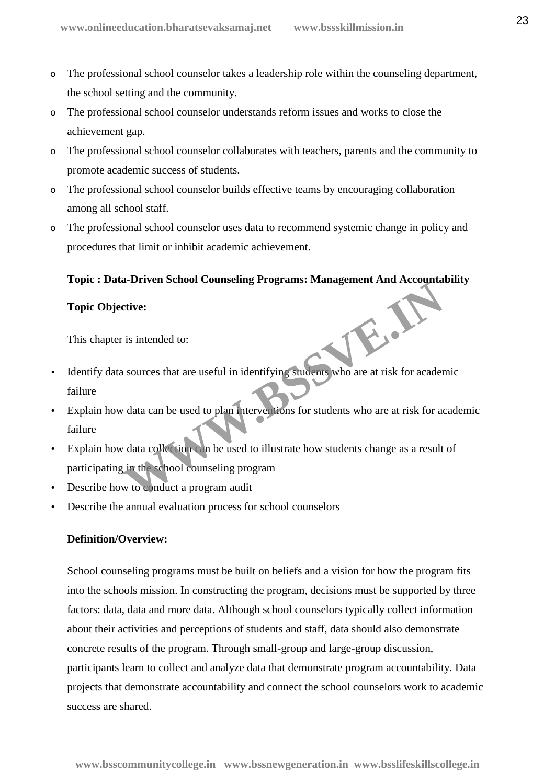- o The professional school counselor takes a leadership role within the counseling department, the school setting and the community.
- o The professional school counselor understands reform issues and works to close the achievement gap.
- o The professional school counselor collaborates with teachers, parents and the community to promote academic success of students.
- o The professional school counselor builds effective teams by encouraging collaboration among all school staff.
- o The professional school counselor uses data to recommend systemic change in policy and procedures that limit or inhibit academic achievement.

# **Topic : Data-Driven School Counseling Programs: Management And Accountability**

#### **Topic Objective:**

This chapter is intended to:

- Identify data sources that are useful in identifying students who are at risk for academic failure
- Explain how data can be used to plan interventions for students who are at risk for academic failure
- Explain how data collection can be used to illustrate how students change as a result of participating in the school counseling program **Example 12 Development School Counseling Programs.** Who are at risk for academy sources that are useful in identifying students who are at risk for academy data can be used to plan interventions for students who are at ri
- Describe how to conduct a program audit
- Describe the annual evaluation process for school counselors

#### **Definition/Overview:**

School counseling programs must be built on beliefs and a vision for how the program fits into the schools mission. In constructing the program, decisions must be supported by three factors: data, data and more data. Although school counselors typically collect information about their activities and perceptions of students and staff, data should also demonstrate concrete results of the program. Through small-group and large-group discussion, participants learn to collect and analyze data that demonstrate program accountability. Data projects that demonstrate accountability and connect the school counselors work to academic success are shared.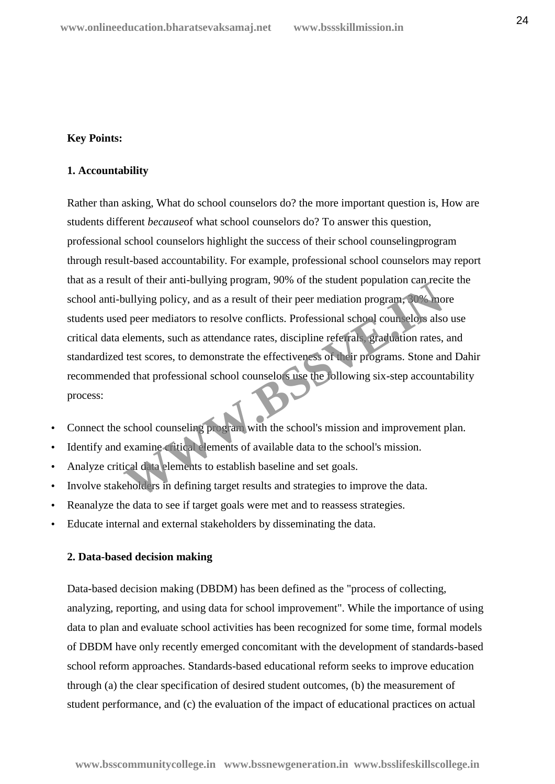# **Key Points:**

## **1. Accountability**

Rather than asking, What do school counselors do? the more important question is, How are students different *because*of what school counselors do? To answer this question, professional school counselors highlight the success of their school counselingprogram through result-based accountability. For example, professional school counselors may report that as a result of their anti-bullying program, 90% of the student population can recite the school anti-bullying policy, and as a result of their peer mediation program, 30% more students used peer mediators to resolve conflicts. Professional school counselors also use critical data elements, such as attendance rates, discipline referrals, graduation rates, and standardized test scores, to demonstrate the effectiveness of their programs. Stone and Dahir recommended that professional school counselors use the following six-step accountability process: The order and burying program, 20% or the statem population can coullying policy, and as a result of their peer mediation program, 30% mod peer mediators to resolve conflicts. Professional school coun eloss also elements,

- Connect the school counseling program with the school's mission and improvement plan.
- Identify and examine critical elements of available data to the school's mission.
- Analyze critical data elements to establish baseline and set goals.
- Involve stakeholders in defining target results and strategies to improve the data.
- Reanalyze the data to see if target goals were met and to reassess strategies.
- Educate internal and external stakeholders by disseminating the data.

#### **2. Data-based decision making**

Data-based decision making (DBDM) has been defined as the "process of collecting, analyzing, reporting, and using data for school improvement". While the importance of using data to plan and evaluate school activities has been recognized for some time, formal models of DBDM have only recently emerged concomitant with the development of standards-based school reform approaches. Standards-based educational reform seeks to improve education through (a) the clear specification of desired student outcomes, (b) the measurement of student performance, and (c) the evaluation of the impact of educational practices on actual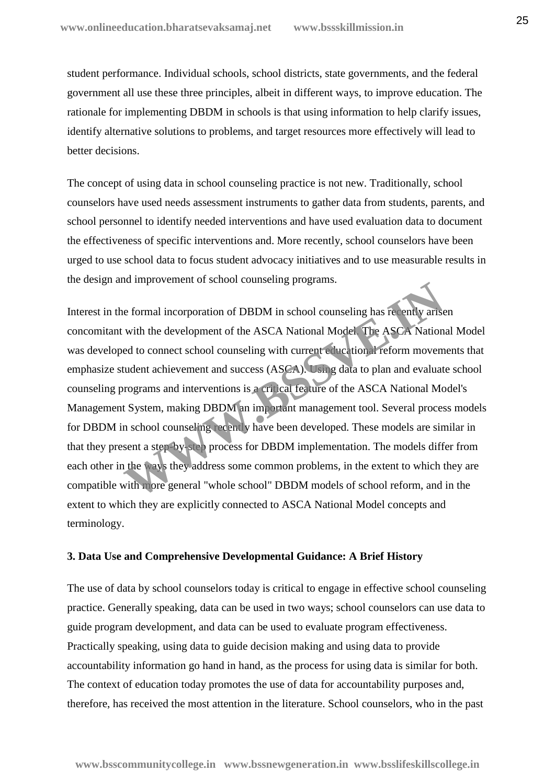student performance. Individual schools, school districts, state governments, and the federal government all use these three principles, albeit in different ways, to improve education. The rationale for implementing DBDM in schools is that using information to help clarify issues, identify alternative solutions to problems, and target resources more effectively will lead to better decisions.

The concept of using data in school counseling practice is not new. Traditionally, school counselors have used needs assessment instruments to gather data from students, parents, and school personnel to identify needed interventions and have used evaluation data to document the effectiveness of specific interventions and. More recently, school counselors have been urged to use school data to focus student advocacy initiatives and to use measurable results in the design and improvement of school counseling programs.

Interest in the formal incorporation of DBDM in school counseling has recently arisen concomitant with the development of the ASCA National Model. The ASCA National Model was developed to connect school counseling with current educational reform movements that emphasize student achievement and success (ASCA). Using data to plan and evaluate school counseling programs and interventions is a critical feature of the ASCA National Model's Management System, making DBDM an important management tool. Several process models for DBDM in school counseling recently have been developed. These models are similar in that they present a step-by-step process for DBDM implementation. The models differ from each other in the ways they address some common problems, in the extent to which they are compatible with more general "whole school" DBDM models of school reform, and in the extent to which they are explicitly connected to ASCA National Model concepts and terminology. is improvement of sensor coaliseming programs.<br>
We formal incorporation of DBDM in school counseling has recently arise<br>
with the development of the ASCA National Model. The ASCA Nation<br>
ed to connect school counseling wit

#### **3. Data Use and Comprehensive Developmental Guidance: A Brief History**

The use of data by school counselors today is critical to engage in effective school counseling practice. Generally speaking, data can be used in two ways; school counselors can use data to guide program development, and data can be used to evaluate program effectiveness. Practically speaking, using data to guide decision making and using data to provide accountability information go hand in hand, as the process for using data is similar for both. The context of education today promotes the use of data for accountability purposes and, therefore, has received the most attention in the literature. School counselors, who in the past

**www.bsscommunitycollege.in www.bssnewgeneration.in www.bsslifeskillscollege.in**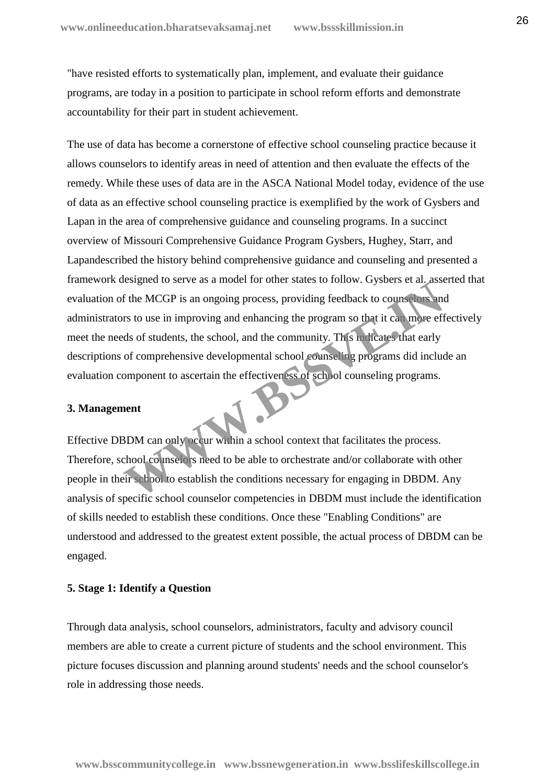"have resisted efforts to systematically plan, implement, and evaluate their guidance programs, are today in a position to participate in school reform efforts and demonstrate accountability for their part in student achievement.

The use of data has become a cornerstone of effective school counseling practice because it allows counselors to identify areas in need of attention and then evaluate the effects of the remedy. While these uses of data are in the ASCA National Model today, evidence of the use of data as an effective school counseling practice is exemplified by the work of Gysbers and Lapan in the area of comprehensive guidance and counseling programs. In a succinct overview of Missouri Comprehensive Guidance Program Gysbers, Hughey, Starr, and Lapandescribed the history behind comprehensive guidance and counseling and presented a framework designed to serve as a model for other states to follow. Gysbers et al. asserted that evaluation of the MCGP is an ongoing process, providing feedback to counselors and administrators to use in improving and enhancing the program so that it can more effectively meet the needs of students, the school, and the community. This indicates that early descriptions of comprehensive developmental school counseling programs did include an evaluation component to ascertain the effectiveness of school counseling programs. The MCGP is an ongoing process, providing feedback to counselors and<br>the MCGP is an ongoing process, providing feedback to counselors and<br>are effects of students, the school, and the community. This indicates that early<br>of

#### **3. Management**

Effective DBDM can only occur within a school context that facilitates the process. Therefore, school counselors need to be able to orchestrate and/or collaborate with other people in their school to establish the conditions necessary for engaging in DBDM. Any analysis of specific school counselor competencies in DBDM must include the identification of skills needed to establish these conditions. Once these "Enabling Conditions" are understood and addressed to the greatest extent possible, the actual process of DBDM can be engaged.

#### **5. Stage 1: Identify a Question**

Through data analysis, school counselors, administrators, faculty and advisory council members are able to create a current picture of students and the school environment. This picture focuses discussion and planning around students' needs and the school counselor's role in addressing those needs.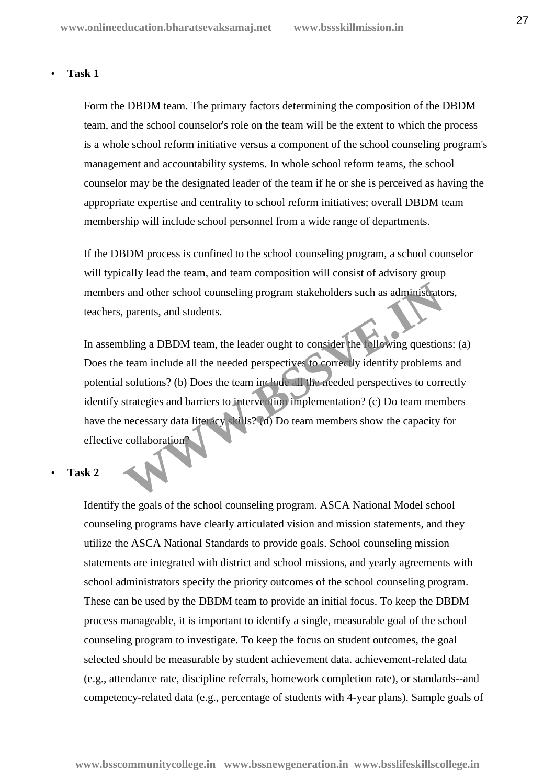#### **Task 1**

Form the DBDM team. The primary factors determining the composition of the DBDM team, and the school counselor's role on the team will be the extent to which the process is a whole school reform initiative versus a component of the school counseling program's management and accountability systems. In whole school reform teams, the school counselor may be the designated leader of the team if he or she is perceived as having the appropriate expertise and centrality to school reform initiatives; overall DBDM team membership will include school personnel from a wide range of departments.

If the DBDM process is confined to the school counseling program, a school counselor will typically lead the team, and team composition will consist of advisory group members and other school counseling program stakeholders such as administrators, teachers, parents, and students.

In assembling a DBDM team, the leader ought to consider the following questions: (a) Does the team include all the needed perspectives to correctly identify problems and potential solutions? (b) Does the team include all the needed perspectives to correctly identify strategies and barriers to intervention implementation? (c) Do team members have the necessary data literacy skills? (d) Do team members show the capacity for effective collaboration? Sand other school counseling program stakeholders such as administrato parents, and students.<br>
bling a DBDM team, the leader ought to consider the Ollowing question<br>
team include all the needed perspectives to correctly id

**Task 2**

Identify the goals of the school counseling program. ASCA National Model school counseling programs have clearly articulated vision and mission statements, and they utilize the ASCA National Standards to provide goals. School counseling mission statements are integrated with district and school missions, and yearly agreements with school administrators specify the priority outcomes of the school counseling program. These can be used by the DBDM team to provide an initial focus. To keep the DBDM process manageable, it is important to identify a single, measurable goal of the school counseling program to investigate. To keep the focus on student outcomes, the goal selected should be measurable by student achievement data. achievement-related data (e.g., attendance rate, discipline referrals, homework completion rate), or standards--and competency-related data (e.g., percentage of students with 4-year plans). Sample goals of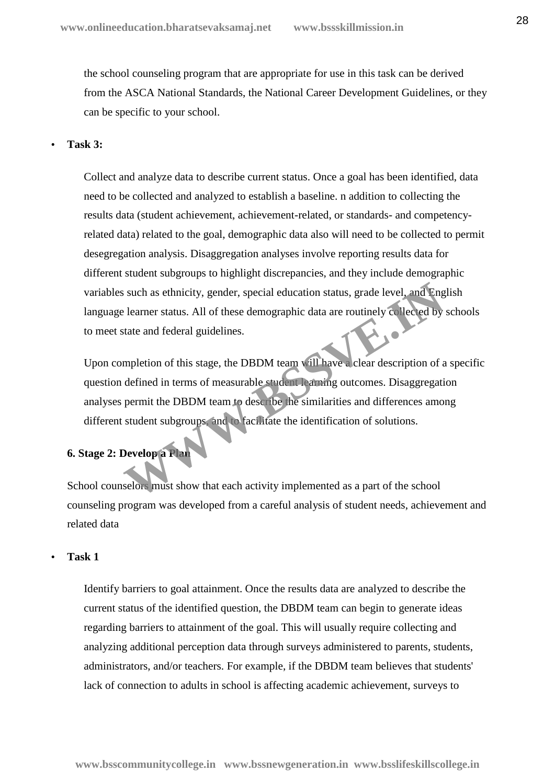the school counseling program that are appropriate for use in this task can be derived from the ASCA National Standards, the National Career Development Guidelines, or they can be specific to your school.

#### **Task 3:**

Collect and analyze data to describe current status. Once a goal has been identified, data need to be collected and analyzed to establish a baseline. n addition to collecting the results data (student achievement, achievement-related, or standards- and competencyrelated data) related to the goal, demographic data also will need to be collected to permit desegregation analysis. Disaggregation analyses involve reporting results data for different student subgroups to highlight discrepancies, and they include demographic variables such as ethnicity, gender, special education status, grade level, and English language learner status. All of these demographic data are routinely collected by schools to meet state and federal guidelines.

Upon completion of this stage, the DBDM team will have a clear description of a specific question defined in terms of measurable student learning outcomes. Disaggregation analyses permit the DBDM team to describe the similarities and differences among different student subgroups, and to facilitate the identification of solutions. Such as ethnicity, gender, special education status, grade level, and Eng<br>
learner status. All of these demographic data are routinely collected by<br>
state and federal guidelines.<br>
External federal guidelines.<br>
mpletion of

# **6. Stage 2: Develop a Plan**

School counselors must show that each activity implemented as a part of the school counseling program was developed from a careful analysis of student needs, achievement and related data

#### **Task 1**

Identify barriers to goal attainment. Once the results data are analyzed to describe the current status of the identified question, the DBDM team can begin to generate ideas regarding barriers to attainment of the goal. This will usually require collecting and analyzing additional perception data through surveys administered to parents, students, administrators, and/or teachers. For example, if the DBDM team believes that students' lack of connection to adults in school is affecting academic achievement, surveys to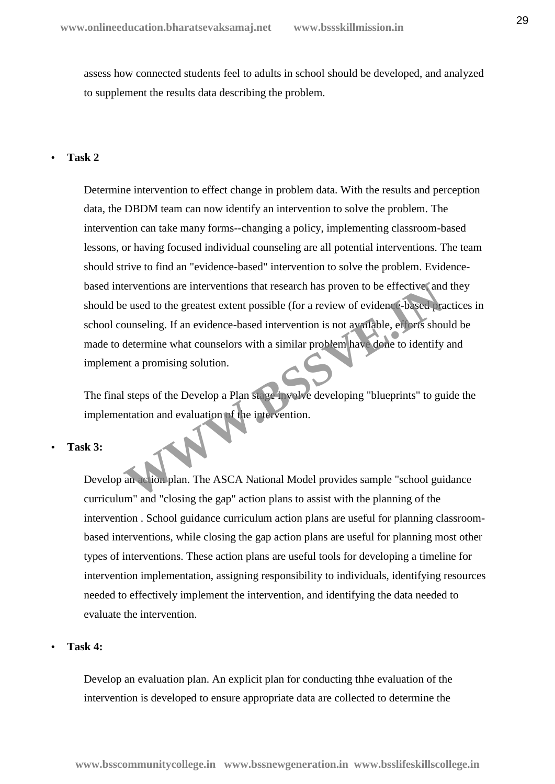assess how connected students feel to adults in school should be developed, and analyzed to supplement the results data describing the problem.

#### **Task 2**

Determine intervention to effect change in problem data. With the results and perception data, the DBDM team can now identify an intervention to solve the problem. The intervention can take many forms--changing a policy, implementing classroom-based lessons, or having focused individual counseling are all potential interventions. The team should strive to find an "evidence-based" intervention to solve the problem. Evidence based interventions are interventions that research has proven to be effective, and they should be used to the greatest extent possible (for a review of evidence-based practices in school counseling. If an evidence-based intervention is not available, efforts should be made to determine what counselors with a similar problem have done to identify and implement a promising solution. Experience are interventions that research has proven to be effective and<br>e used to the greatest extent possible (for a review of evidence-based pra<br>bunseling. If an evidence-based intervention is not available, enterts sh

The final steps of the Develop a Plan stage involve developing "blueprints" to guide the implementation and evaluation of the intervention.

**Task 3:**

Develop an action plan. The ASCA National Model provides sample "school guidance curriculum" and "closing the gap" action plans to assist with the planning of the intervention . School guidance curriculum action plans are useful for planning classroom based interventions, while closing the gap action plans are useful for planning most other types of interventions. These action plans are useful tools for developing a timeline for intervention implementation, assigning responsibility to individuals, identifying resources needed to effectively implement the intervention, and identifying the data needed to evaluate the intervention.

# **Task 4:**

Develop an evaluation plan. An explicit plan for conducting thhe evaluation of the intervention is developed to ensure appropriate data are collected to determine the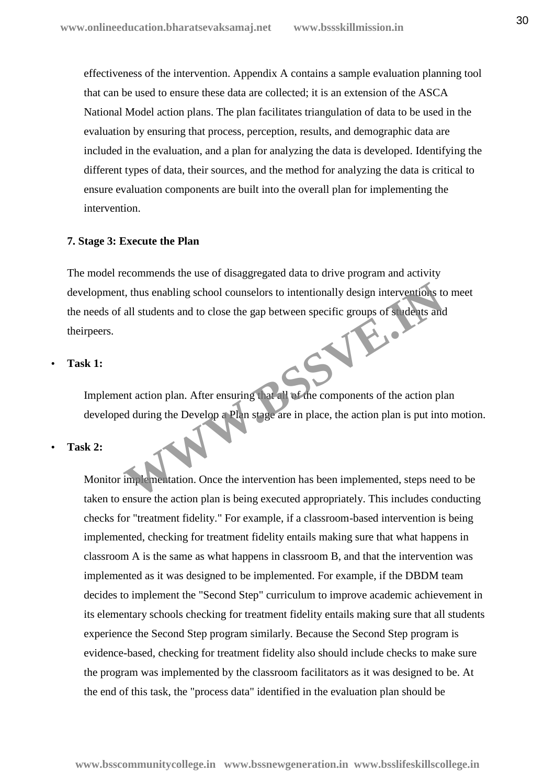effectiveness of the intervention. Appendix A contains a sample evaluation planning tool that can be used to ensure these data are collected; it is an extension of the ASCA National Model action plans. The plan facilitates triangulation of data to be used in the evaluation by ensuring that process, perception, results, and demographic data are included in the evaluation, and a plan for analyzing the data is developed. Identifying the different types of data, their sources, and the method for analyzing the data is critical to ensure evaluation components are built into the overall plan for implementing the intervention.

#### **7. Stage 3: Execute the Plan**

The model recommends the use of disaggregated data to drive program and activity development, thus enabling school counselors to intentionally design interventions to meet the needs of all students and to close the gap between specific groups of students and their<br>peers.<br>Task 1: theirpeers. t, thus enabling school counselors to intentionally design interventions to<br>all students and to close the gap between specific groups of students and<br>all students and to close the gap between specific groups of students an

#### **Task 1:**

Implement action plan. After ensuring that all of the components of the action plan developed during the Develop a Plan stage are in place, the action plan is put into motion.

**Task 2:**

Monitor implementation. Once the intervention has been implemented, steps need to be taken to ensure the action plan is being executed appropriately. This includes conducting checks for "treatment fidelity." For example, if a classroom-based intervention is being implemented, checking for treatment fidelity entails making sure that what happens in classroom A is the same as what happens in classroom B, and that the intervention was implemented as it was designed to be implemented. For example, if the DBDM team decides to implement the "Second Step" curriculum to improve academic achievement in its elementary schools checking for treatment fidelity entails making sure that all students experience the Second Step program similarly. Because the Second Step program is evidence-based, checking for treatment fidelity also should include checks to make sure the program was implemented by the classroom facilitators as it was designed to be. At the end of this task, the "process data" identified in the evaluation plan should be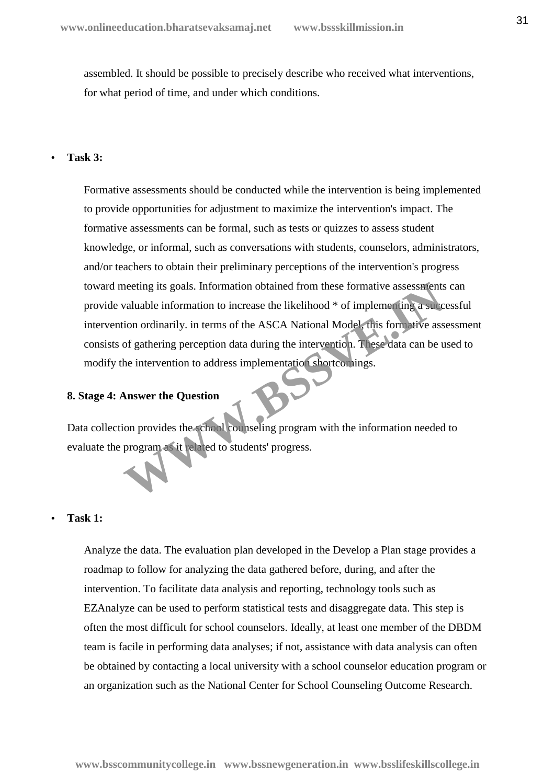assembled. It should be possible to precisely describe who received what interventions, for what period of time, and under which conditions.

#### **Task 3:**

Formative assessments should be conducted while the intervention is being implemented to provide opportunities for adjustment to maximize the intervention's impact. The formative assessments can be formal, such as tests or quizzes to assess student knowledge, or informal, such as conversations with students, counselors, administrators, and/or teachers to obtain their preliminary perceptions of the intervention's progress toward meeting its goals. Information obtained from these formative assessments can provide valuable information to increase the likelihood \* of implementing a successful intervention ordinarily. in terms of the ASCA National Model, this formative assessment consists of gathering perception data during the intervention. These data can be used to modify the intervention to address implementation shortcomings. meeting its goals. Information obtained from these formative assessments<br>
waluable information to increase the likelihood \* of implementing a succe<br>
ion ordinarily. in terms of the ASCA National Model this formative asses<br>

# **8. Stage 4: Answer the Question**

Data collection provides the school counseling program with the information needed to evaluate the program as it related to students' progress.

#### **Task 1:**

Analyze the data. The evaluation plan developed in the Develop a Plan stage provides a roadmap to follow for analyzing the data gathered before, during, and after the intervention. To facilitate data analysis and reporting, technology tools such as EZAnalyze can be used to perform statistical tests and disaggregate data. This step is often the most difficult for school counselors. Ideally, at least one member of the DBDM team is facile in performing data analyses; if not, assistance with data analysis can often be obtained by contacting a local university with a school counselor education program or an organization such as the National Center for School Counseling Outcome Research.

**www.bsscommunitycollege.in www.bssnewgeneration.in www.bsslifeskillscollege.in**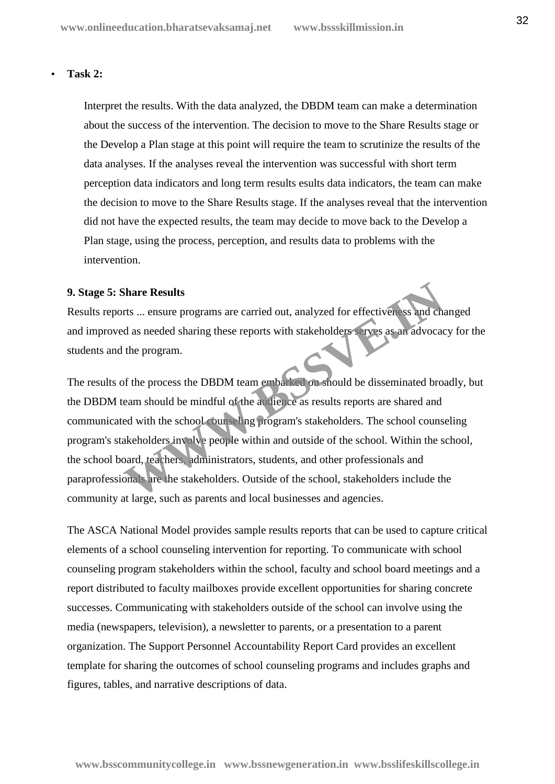#### **Task 2:**

Interpret the results. With the data analyzed, the DBDM team can make a determination about the success of the intervention. The decision to move to the Share Results stage or the Develop a Plan stage at this point will require the team to scrutinize the results of the data analyses. If the analyses reveal the intervention was successful with short term perception data indicators and long term results esults data indicators, the team can make the decision to move to the Share Results stage. If the analyses reveal that the intervention did not have the expected results, the team may decide to move back to the Develop a Plan stage, using the process, perception, and results data to problems with the intervention.

#### **9. Stage 5: Share Results**

Results reports ... ensure programs are carried out, analyzed for effectiveness and changed and improved as needed sharing these reports with stakeholders serves as an advocacy for the students and the program.

The results of the process the DBDM team embarked on should be disseminated broadly, but the DBDM team should be mindful of the audience as results reports are shared and communicated with the school counseling program's stakeholders. The school counseling program's stakeholders involve people within and outside of the school. Within the school, the school board, teachers, administrators, students, and other professionals and paraprofessionals are the stakeholders. Outside of the school, stakeholders include the community at large, such as parents and local businesses and agencies. Share Results<br>
Its ... ensure programs are carried out, analyzed for effectiveness and charged as needed sharing these reports with stakeholders are as an advocate<br>
the program.<br>
It is a small of the process the DBDM team

The ASCA National Model provides sample results reports that can be used to capture critical elements of a school counseling intervention for reporting. To communicate with school counseling program stakeholders within the school, faculty and school board meetings and a report distributed to faculty mailboxes provide excellent opportunities for sharing concrete successes. Communicating with stakeholders outside of the school can involve using the media (newspapers, television), a newsletter to parents, or a presentation to a parent organization. The Support Personnel Accountability Report Card provides an excellent template for sharing the outcomes of school counseling programs and includes graphs and figures, tables, and narrative descriptions of data.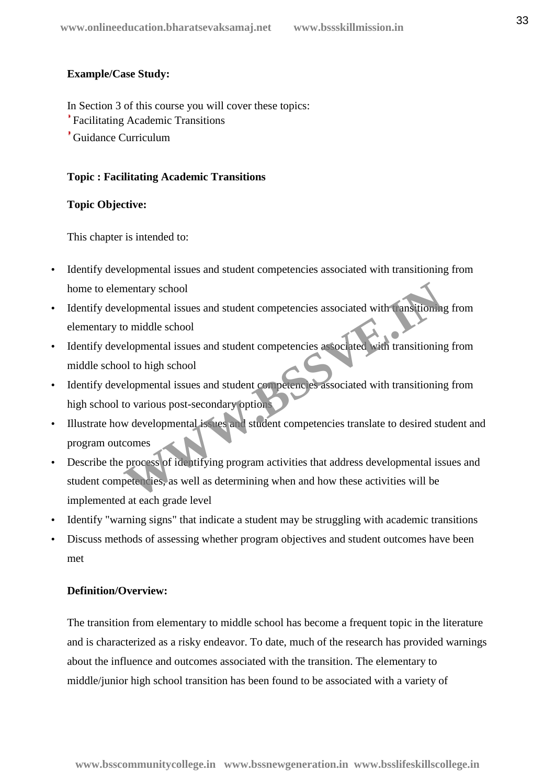# **Example/Case Study:**

In Section 3 of this course you will cover these topics: Facilitating Academic Transitions Guidance Curriculum

#### **Topic : Facilitating Academic Transitions**

#### **Topic Objective:**

This chapter is intended to:

- Identify developmental issues and student competencies associated with transitioning from home to elementary school
- Identify developmental issues and student competencies associated with transitioning from elementary to middle school
- Identify developmental issues and student competencies associated with transitioning from middle school to high school
- Identify developmental issues and student competencies associated with transitioning from high school to various post-secondary options
- Illustrate how developmental issues and student competencies translate to desired student and program outcomes
- Describe the process of identifying program activities that address developmental issues and student competencies, as well as determining when and how these activities will be implemented at each grade level mentary school<br>
elopmental issues and student competencies associated with ansitioning<br>
o middle school<br>
elopmental issues and student competencies associated with transitioning<br>
ol to high school<br>
elopmental issues and st
- Identify "warning signs" that indicate a student may be struggling with academic transitions
- Discuss methods of assessing whether program objectives and student outcomes have been met

#### **Definition/Overview:**

The transition from elementary to middle school has become a frequent topic in the literature and is characterized as a risky endeavor. To date, much of the research has provided warnings about the influence and outcomes associated with the transition. The elementary to middle/junior high school transition has been found to be associated with a variety of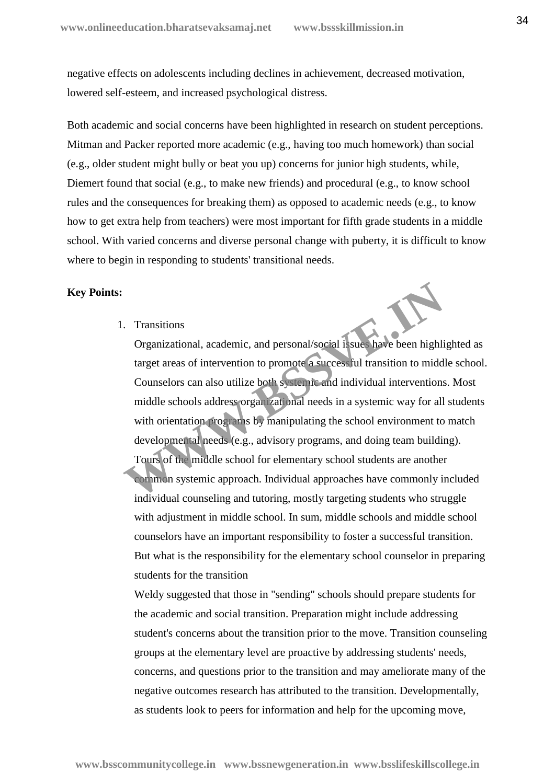negative effects on adolescents including declines in achievement, decreased motivation, lowered self-esteem, and increased psychological distress.

Both academic and social concerns have been highlighted in research on student perceptions. Mitman and Packer reported more academic (e.g., having too much homework) than social (e.g., older student might bully or beat you up) concerns for junior high students, while, Diemert found that social (e.g., to make new friends) and procedural (e.g., to know school rules and the consequences for breaking them) as opposed to academic needs (e.g., to know how to get extra help from teachers) were most important for fifth grade students in a middle school. With varied concerns and diverse personal change with puberty, it is difficult to know where to begin in responding to students' transitional needs.

#### **Key Points:**

1. Transitions

Organizational, academic, and personal/social issues have been highlighted as target areas of intervention to promote a successful transition to middle school. Counselors can also utilize both systemic and individual interventions. Most middle schools address organizational needs in a systemic way for all students with orientation programs by manipulating the school environment to match developmental needs (e.g., advisory programs, and doing team building). Tours of the middle school for elementary school students are another common systemic approach. Individual approaches have commonly included individual counseling and tutoring, mostly targeting students who struggle with adjustment in middle school. In sum, middle schools and middle school counselors have an important responsibility to foster a successful transition. But what is the responsibility for the elementary school counselor in preparing students for the transition Transitions<br>
Organizational, academic, and personal/social issues have been highli<br>
target areas of intervention to promote a successful transition to midd<br>
Counselors can also utilize both systemic and individual interven

Weldy suggested that those in "sending" schools should prepare students for the academic and social transition. Preparation might include addressing student's concerns about the transition prior to the move. Transition counseling groups at the elementary level are proactive by addressing students' needs, concerns, and questions prior to the transition and may ameliorate many of the negative outcomes research has attributed to the transition. Developmentally, as students look to peers for information and help for the upcoming move,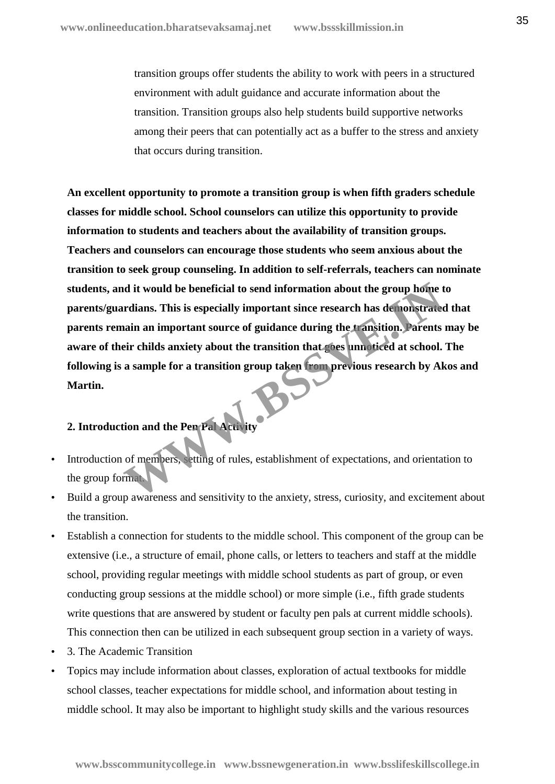transition groups offer students the ability to work with peers in a structured environment with adult guidance and accurate information about the transition. Transition groups also help students build supportive networks among their peers that can potentially act as a buffer to the stress and anxiety that occurs during transition.

**An excellent opportunity to promote a transition group is when fifth graders schedule classes for middle school. School counselors can utilize this opportunity to provide information to students and teachers about the availability of transition groups. Teachers and counselors can encourage those students who seem anxious about the transition to seek group counseling. In addition to self-referrals, teachers can nominate students, and it would be beneficial to send information about the group home to parents/guardians. This is especially important since research has demonstrated that parents remain an important source of guidance during the transition. Parents may be aware of their childs anxiety about the transition that goes unnoticed at school. The following is a sample for a transition group taken from previous research by Akos and Martin.** In the state of members and sensitivity to the anxiety trees curiosity and excitent<br>
This is especially important since research has demonstrated<br>
The state of guidance during the transition. Parents<br>
eir childs anxiety ab

# **2. Introduction and the Pen Pal Activity**

- Introduction of members, setting of rules, establishment of expectations, and orientation to the group format.
- Build a group awareness and sensitivity to the anxiety, stress, curiosity, and excitement about the transition.
- Establish a connection for students to the middle school. This component of the group can be extensive (i.e., a structure of email, phone calls, or letters to teachers and staff at the middle school, providing regular meetings with middle school students as part of group, or even conducting group sessions at the middle school) or more simple (i.e., fifth grade students write questions that are answered by student or faculty pen pals at current middle schools). This connection then can be utilized in each subsequent group section in a variety of ways.
- 3. The Academic Transition
- Topics may include information about classes, exploration of actual textbooks for middle school classes, teacher expectations for middle school, and information about testing in middle school. It may also be important to highlight study skills and the various resources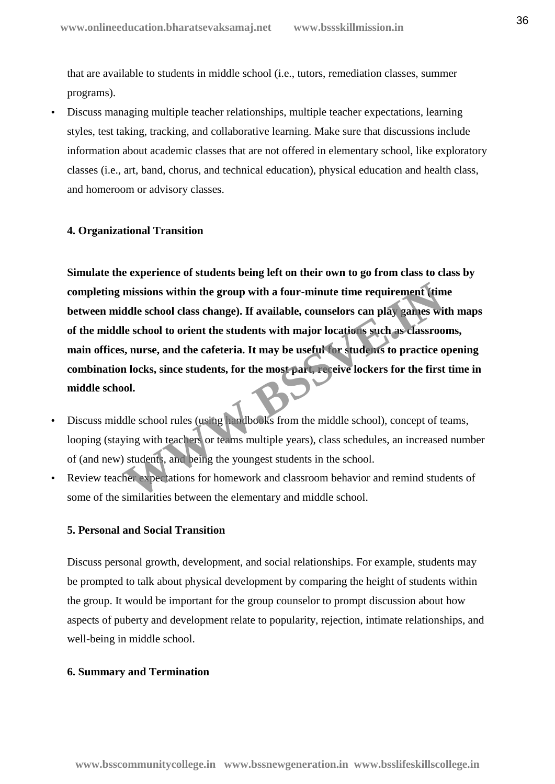that are available to students in middle school (i.e., tutors, remediation classes, summer programs).

 Discuss managing multiple teacher relationships, multiple teacher expectations, learning styles, test taking, tracking, and collaborative learning. Make sure that discussions include information about academic classes that are not offered in elementary school, like exploratory classes (i.e., art, band, chorus, and technical education), physical education and health class, and homeroom or advisory classes.

#### **4. Organizational Transition**

**Simulate the experience of students being left on their own to go from class to class by completing missions within the group with a four-minute time requirement (time between middle school class change). If available, counselors can play games with maps of the middle school to orient the students with major locations such as classrooms, main offices, nurse, and the cafeteria. It may be useful for students to practice opening combination locks, since students, for the most part, receive lockers for the first time in middle school.** missions within the group with a four-minute time requirement (tim<br>ddle school class change). If available, counselors can play games wi<br>le school to orient the students with major locations with as classroo<br>s, nurse, and

- Discuss middle school rules (using handbooks from the middle school), concept of teams, looping (staying with teachers or teams multiple years), class schedules, an increased number of (and new) students, and being the youngest students in the school.
- Review teacher expectations for homework and classroom behavior and remind students of some of the similarities between the elementary and middle school.

## **5. Personal and Social Transition**

Discuss personal growth, development, and social relationships. For example, students may be prompted to talk about physical development by comparing the height of students within the group. It would be important for the group counselor to prompt discussion about how aspects of puberty and development relate to popularity, rejection, intimate relationships, and well-being in middle school.

#### **6. Summary and Termination**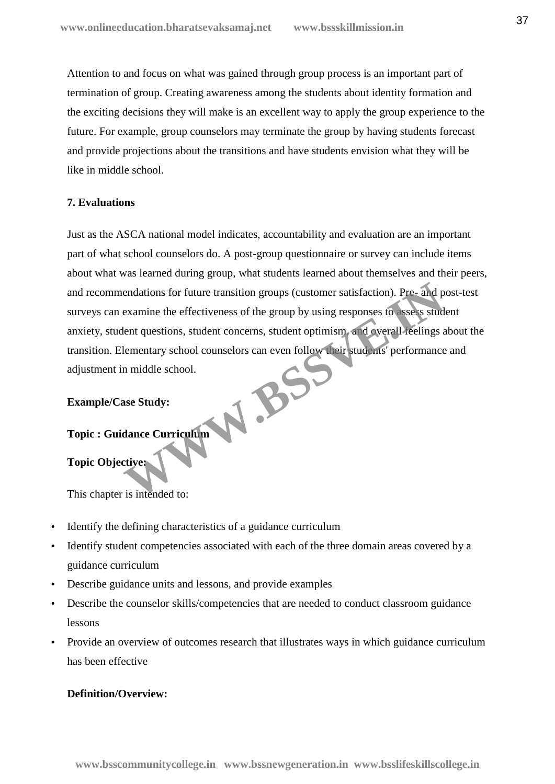Attention to and focus on what was gained through group process is an important part of termination of group. Creating awareness among the students about identity formation and the exciting decisions they will make is an excellent way to apply the group experience to the future. For example, group counselors may terminate the group by having students forecast and provide projections about the transitions and have students envision what they will be like in middle school.

#### **7. Evaluations**

Just as the ASCA national model indicates, accountability and evaluation are an important part of what school counselors do. A post-group questionnaire or survey can include items about what was learned during group, what students learned about themselves and their peers, and recommendations for future transition groups (customer satisfaction). Pre- and post-test surveys can examine the effectiveness of the group by using responses to assess student anxiety, student questions, student concerns, student optimism, and overall feelings about the transition. Elementary school counselors can even follow their students' performance and adjustment in middle school. **WWW.BSSVE.IN**

#### **Example/Case Study:**

# **Topic : Guidance Curriculum**

# **Topic Objective:**

This chapter is intended to:

- Identify the defining characteristics of a guidance curriculum
- Identify student competencies associated with each of the three domain areas covered by a guidance curriculum
- Describe guidance units and lessons, and provide examples
- Describe the counselor skills/competencies that are needed to conduct classroom guidance lessons
- Provide an overview of outcomes research that illustrates ways in which guidance curriculum has been effective

#### **Definition/Overview:**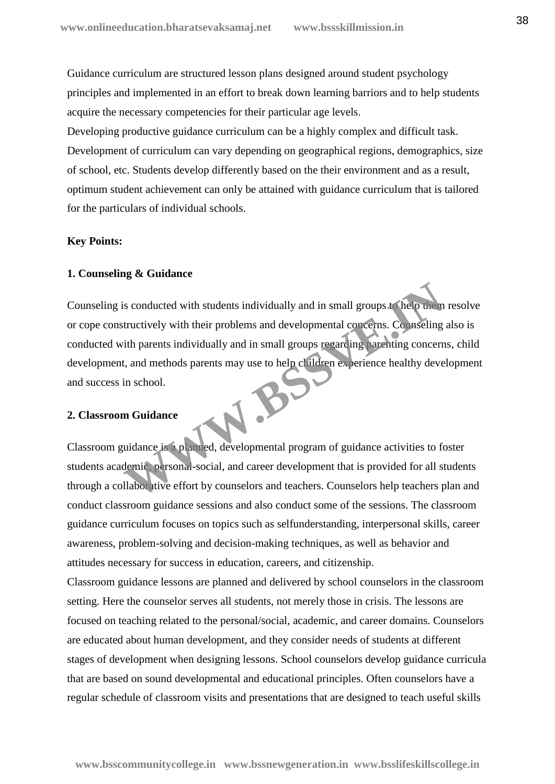Guidance curriculum are structured lesson plans designed around student psychology principles and implemented in an effort to break down learning barriors and to help students acquire the necessary competencies for their particular age levels.

Developing productive guidance curriculum can be a highly complex and difficult task. Development of curriculum can vary depending on geographical regions, demographics, size of school, etc. Students develop differently based on the their environment and as a result, optimum student achievement can only be attained with guidance curriculum that is tailored for the particulars of individual schools.

#### **Key Points:**

#### **1. Counseling & Guidance**

Counseling is conducted with students individually and in small groups to help them resolve or cope constructively with their problems and developmental concerns. Counseling also is conducted with parents individually and in small groups regarding parenting concerns, child development, and methods parents may use to help children experience healthy development and success in school. Solution and the students individually and in small groups.<sup>4</sup> help them<br>tructively with their problems and developmental concerns. Conseling<br>ith parents individually and in small groups researching concern<br>t, and methods

## **2. Classroom Guidance**

Classroom guidance is a planned, developmental program of guidance activities to foster students academic, personal-social, and career development that is provided for all students through a collaborative effort by counselors and teachers. Counselors help teachers plan and conduct classroom guidance sessions and also conduct some of the sessions. The classroom guidance curriculum focuses on topics such as selfunderstanding, interpersonal skills, career awareness, problem-solving and decision-making techniques, as well as behavior and attitudes necessary for success in education, careers, and citizenship.

Classroom guidance lessons are planned and delivered by school counselors in the classroom setting. Here the counselor serves all students, not merely those in crisis. The lessons are focused on teaching related to the personal/social, academic, and career domains. Counselors are educated about human development, and they consider needs of students at different stages of development when designing lessons. School counselors develop guidance curricula that are based on sound developmental and educational principles. Often counselors have a regular schedule of classroom visits and presentations that are designed to teach useful skills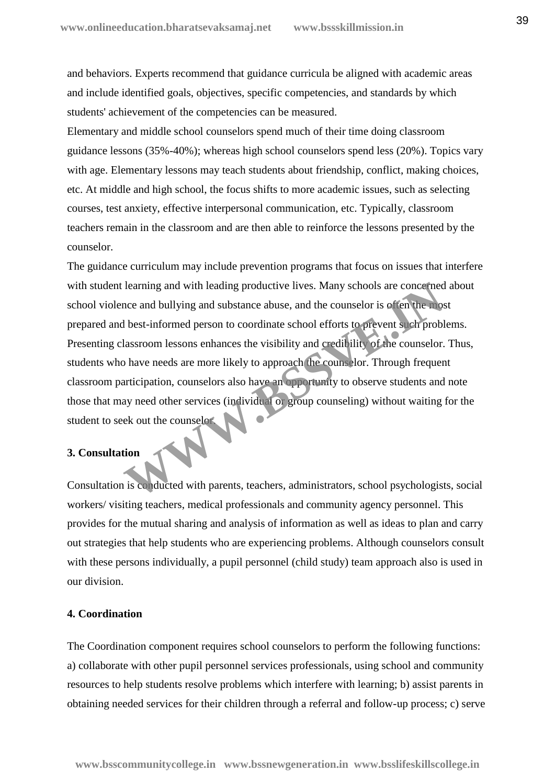and behaviors. Experts recommend that guidance curricula be aligned with academic areas and include identified goals, objectives, specific competencies, and standards by which students' achievement of the competencies can be measured.

Elementary and middle school counselors spend much of their time doing classroom guidance lessons (35%-40%); whereas high school counselors spend less (20%). Topics vary with age. Elementary lessons may teach students about friendship, conflict, making choices, etc. At middle and high school, the focus shifts to more academic issues, such as selecting courses, test anxiety, effective interpersonal communication, etc. Typically, classroom teachers remain in the classroom and are then able to reinforce the lessons presented by the counselor.

The guidance curriculum may include prevention programs that focus on issues that interfere with student learning and with leading productive lives. Many schools are concerned about school violence and bullying and substance abuse, and the counselor is often the most prepared and best-informed person to coordinate school efforts to prevent such problems. Presenting classroom lessons enhances the visibility and credibility of the counselor. Thus, students who have needs are more likely to approach the counselor. Through frequent classroom participation, counselors also have an opportunity to observe students and note those that may need other services (individual or group counseling) without waiting for the student to seek out the counselor. learning and with leading productive lives. Many schools are concerned<br>nce and bullying and substance abuse, and the counselor is of en the most<br>disest-informed person to coordinate school efforts to prevent such probl<br>las

# **3. Consultation**

Consultation is conducted with parents, teachers, administrators, school psychologists, social workers/ visiting teachers, medical professionals and community agency personnel. This provides for the mutual sharing and analysis of information as well as ideas to plan and carry out strategies that help students who are experiencing problems. Although counselors consult with these persons individually, a pupil personnel (child study) team approach also is used in our division.

#### **4. Coordination**

The Coordination component requires school counselors to perform the following functions: a) collaborate with other pupil personnel services professionals, using school and community resources to help students resolve problems which interfere with learning; b) assist parents in obtaining needed services for their children through a referral and follow-up process; c) serve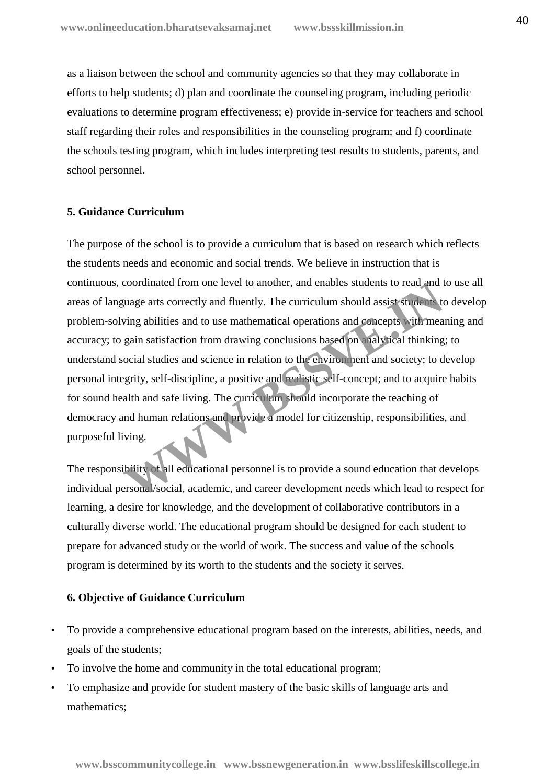as a liaison between the school and community agencies so that they may collaborate in efforts to help students; d) plan and coordinate the counseling program, including periodic evaluations to determine program effectiveness; e) provide in-service for teachers and school staff regarding their roles and responsibilities in the counseling program; and f) coordinate the schools testing program, which includes interpreting test results to students, parents, and school personnel.

#### **5. Guidance Curriculum**

The purpose of the school is to provide a curriculum that is based on research which reflects the students needs and economic and social trends. We believe in instruction that is continuous, coordinated from one level to another, and enables students to read and to use all areas of language arts correctly and fluently. The curriculum should assist students to develop problem-solving abilities and to use mathematical operations and concepts with meaning and accuracy; to gain satisfaction from drawing conclusions based on analytical thinking; to understand social studies and science in relation to the environment and society; to develop personal integrity, self-discipline, a positive and realistic self-concept; and to acquire habits for sound health and safe living. The curriculum should incorporate the teaching of democracy and human relations and provide a model for citizenship, responsibilities, and purposeful living. coordinated from one level to another, and enables students to read and transport and a pluster of the curriculum should assist students with mead and still it wing abilities and to use mathematical operations and concepts

The responsibility of all educational personnel is to provide a sound education that develops individual personal/social, academic, and career development needs which lead to respect for learning, a desire for knowledge, and the development of collaborative contributors in a culturally diverse world. The educational program should be designed for each student to prepare for advanced study or the world of work. The success and value of the schools program is determined by its worth to the students and the society it serves.

#### **6. Objective of Guidance Curriculum**

- To provide a comprehensive educational program based on the interests, abilities, needs, and goals of the students;
- To involve the home and community in the total educational program;
- To emphasize and provide for student mastery of the basic skills of language arts and mathematics;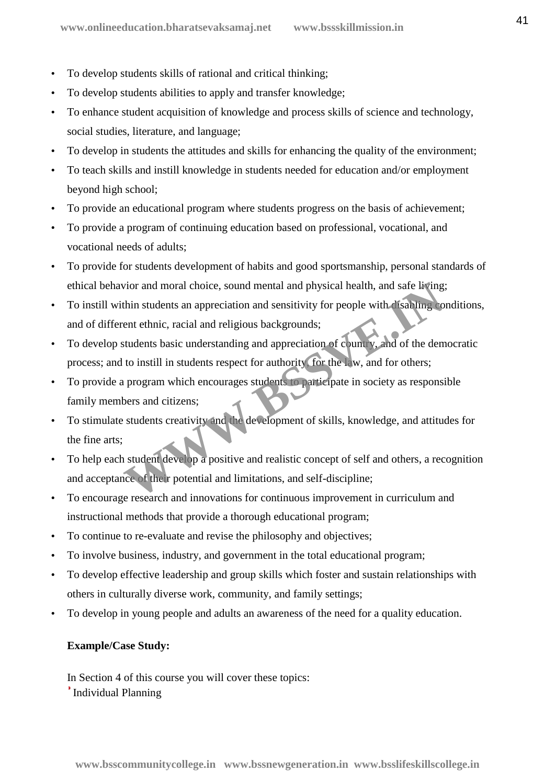- To develop students skills of rational and critical thinking;
- To develop students abilities to apply and transfer knowledge;
- To enhance student acquisition of knowledge and process skills of science and technology, social studies, literature, and language;
- To develop in students the attitudes and skills for enhancing the quality of the environment;
- To teach skills and instill knowledge in students needed for education and/or employment beyond high school;
- To provide an educational program where students progress on the basis of achievement;
- To provide a program of continuing education based on professional, vocational, and vocational needs of adults;
- To provide for students development of habits and good sportsmanship, personal standards of ethical behavior and moral choice, sound mental and physical health, and safe living;
- To instill within students an appreciation and sensitivity for people with disabling conditions, and of different ethnic, racial and religious backgrounds;
- To develop students basic understanding and appreciation of country, and of the democratic process; and to instill in students respect for authority, for the law, and for others; From the metal and physical health, and safe living<br>thin students an appreciation and sensitivity for people with **Evaluation**<br>ent ethnic, racial and religious backgrounds;<br>students basic understanding and appreciation of
- To provide a program which encourages students to participate in society as responsible family members and citizens;
- To stimulate students creativity and the development of skills, knowledge, and attitudes for the fine arts;
- To help each student develop a positive and realistic concept of self and others, a recognition and acceptance of their potential and limitations, and self-discipline;
- To encourage research and innovations for continuous improvement in curriculum and instructional methods that provide a thorough educational program;
- To continue to re-evaluate and revise the philosophy and objectives;
- To involve business, industry, and government in the total educational program;
- To develop effective leadership and group skills which foster and sustain relationships with others in culturally diverse work, community, and family settings;
- To develop in young people and adults an awareness of the need for a quality education.

# **Example/Case Study:**

In Section 4 of this course you will cover these topics: Individual Planning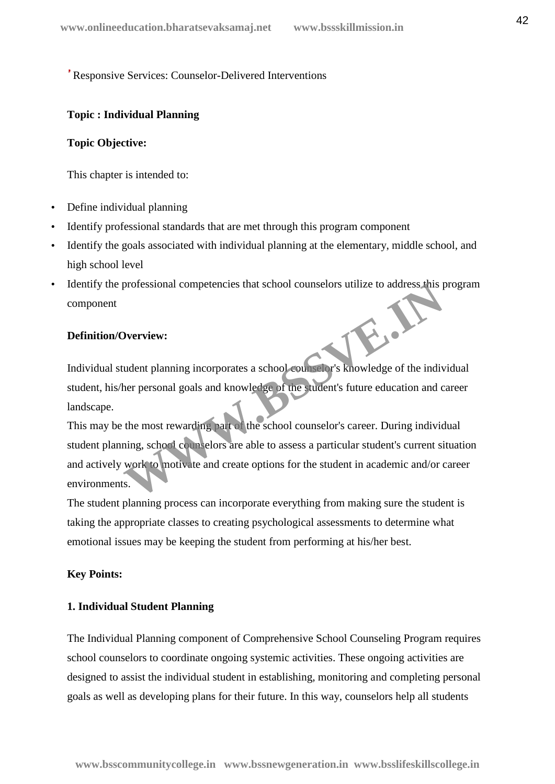# Responsive Services: Counselor-Delivered Interventions

#### **Topic : Individual Planning**

#### **Topic Objective:**

This chapter is intended to:

- Define individual planning
- Identify professional standards that are met through this program component
- Identify the goals associated with individual planning at the elementary, middle school, and high school level
- Identify the professional competencies that school counselors utilize to address this program component

## **Definition/Overview:**

Individual student planning incorporates a school counselor's knowledge of the individual student, his/her personal goals and knowledge of the student's future education and career landscape.

This may be the most rewarding part of the school counselor's career. During individual student planning, school counselors are able to assess a particular student's current situation and actively work to motivate and create options for the student in academic and/or career environments. professional competencies that school counselors utilize to address this protessional competencies that school counselor's knowledge of the individual ther personal goals and knowledge of the student's future education and

The student planning process can incorporate everything from making sure the student is taking the appropriate classes to creating psychological assessments to determine what emotional issues may be keeping the student from performing at his/her best.

#### **Key Points:**

#### **1. Individual Student Planning**

The Individual Planning component of Comprehensive School Counseling Program requires school counselors to coordinate ongoing systemic activities. These ongoing activities are designed to assist the individual student in establishing, monitoring and completing personal goals as well as developing plans for their future. In this way, counselors help all students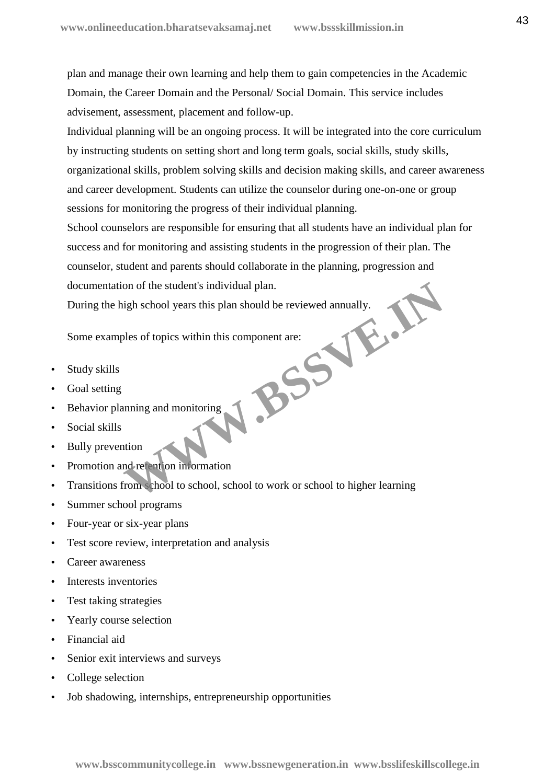plan and manage their own learning and help them to gain competencies in the Academic Domain, the Career Domain and the Personal/ Social Domain. This service includes advisement, assessment, placement and follow-up.

Individual planning will be an ongoing process. It will be integrated into the core curriculum by instructing students on setting short and long term goals, social skills, study skills, organizational skills, problem solving skills and decision making skills, and career awareness and career development. Students can utilize the counselor during one-on-one or group sessions for monitoring the progress of their individual planning.

School counselors are responsible for ensuring that all students have an individual plan for success and for monitoring and assisting students in the progression of their plan. The counselor, student and parents should collaborate in the planning, progression and documentation of the student's individual plan.

During the high school years this plan should be reviewed annually. **WWW.BSSVE.IN**

Some examples of topics within this component are:

- Study skills
- Goal setting
- Behavior planning and monitoring
- Social skills
- Bully prevention
- Promotion and retention information
- Transitions from school to school, school to work or school to higher learning
- Summer school programs
- Four-year or six-year plans
- Test score review, interpretation and analysis
- Career awareness
- Interests inventories
- Test taking strategies
- Yearly course selection
- Financial aid
- Senior exit interviews and surveys
- College selection
- Job shadowing, internships, entrepreneurship opportunities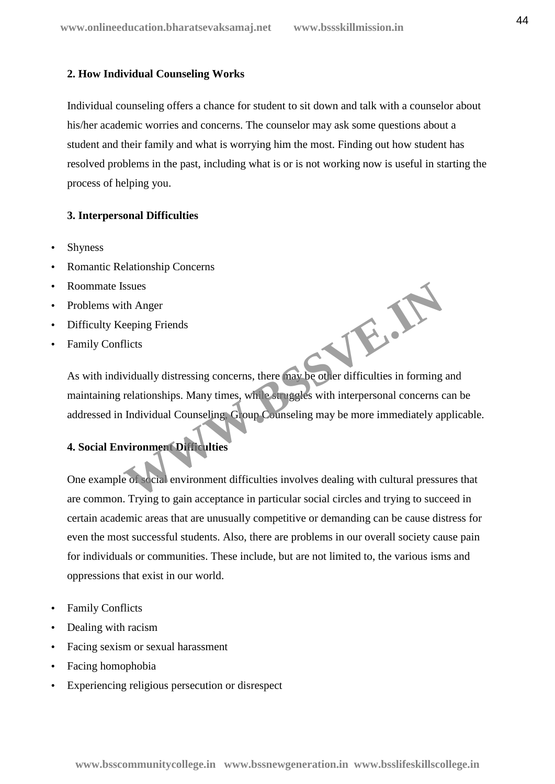#### **2. How Individual Counseling Works**

Individual counseling offers a chance for student to sit down and talk with a counselor about his/her academic worries and concerns. The counselor may ask some questions about a student and their family and what is worrying him the most. Finding out how student has resolved problems in the past, including what is or is not working now is useful in starting the process of helping you.

#### **3. Interpersonal Difficulties**

- Shyness
- Romantic Relationship Concerns
- Roommate Issues
- Problems with Anger
- Difficulty Keeping Friends
- Family Conflicts

As with individually distressing concerns, there may be other difficulties in forming and maintaining relationships. Many times, while struggles with interpersonal concerns can be addressed in Individual Counseling, Group Counseling may be more immediately applicable. WE.AS

## **4. Social Environment Difficulties**

One example of social environment difficulties involves dealing with cultural pressures that are common. Trying to gain acceptance in particular social circles and trying to succeed in certain academic areas that are unusually competitive or demanding can be cause distress for even the most successful students. Also, there are problems in our overall society cause pain for individuals or communities. These include, but are not limited to, the various isms and oppressions that exist in our world.

- Family Conflicts
- Dealing with racism
- Facing sexism or sexual harassment
- Facing homophobia
- Experiencing religious persecution or disrespect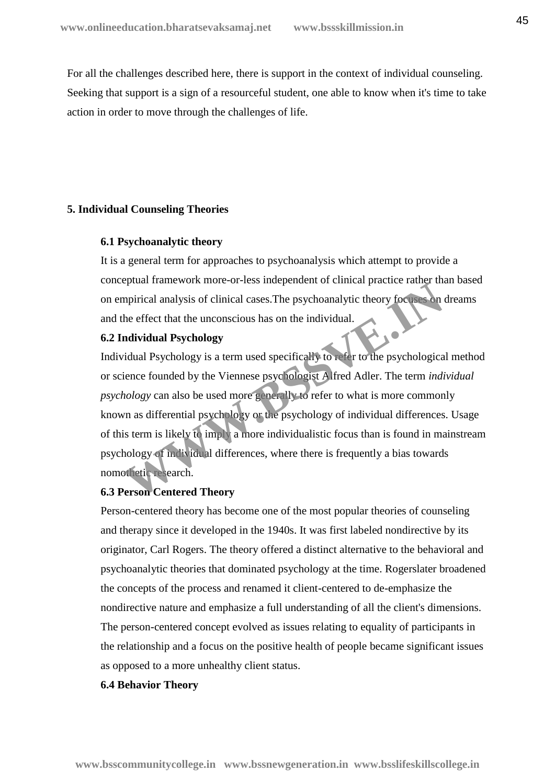For all the challenges described here, there is support in the context of individual counseling. Seeking that support is a sign of a resourceful student, one able to know when it's time to take action in order to move through the challenges of life.

#### **5. Individual Counseling Theories**

#### **6.1 Psychoanalytic theory**

It is a general term for approaches to psychoanalysis which attempt to provide a conceptual framework more-or-less independent of clinical practice rather than based on empirical analysis of clinical cases.The psychoanalytic theory focuses on dreams and the effect that the unconscious has on the individual.

#### **6.2 Individual Psychology**

Individual Psychology is a term used specifically to refer to the psychological method or science founded by the Viennese psychologist Alfred Adler. The term *individual psychology* can also be used more generally to refer to what is more commonly known as differential psychology or the psychology of individual differences. Usage of this term is likely to imply a more individualistic focus than is found in mainstream psychology of individual differences, where there is frequently a bias towards nomothetic research. mpirical analysis of clinical cases. The psychoanalytic theory focuses on<br>the effect that the unconscious has on the individual.<br>**Mividual Psychology**<br>idual Psychology is a term used specifically to refer to the psychologi

#### **6.3 Person Centered Theory**

Person-centered theory has become one of the most popular theories of counseling and therapy since it developed in the 1940s. It was first labeled nondirective by its originator, Carl Rogers. The theory offered a distinct alternative to the behavioral and psychoanalytic theories that dominated psychology at the time. Rogerslater broadened the concepts of the process and renamed it client-centered to de-emphasize the nondirective nature and emphasize a full understanding of all the client's dimensions. The person-centered concept evolved as issues relating to equality of participants in the relationship and a focus on the positive health of people became significant issues as opposed to a more unhealthy client status.

#### **6.4 Behavior Theory**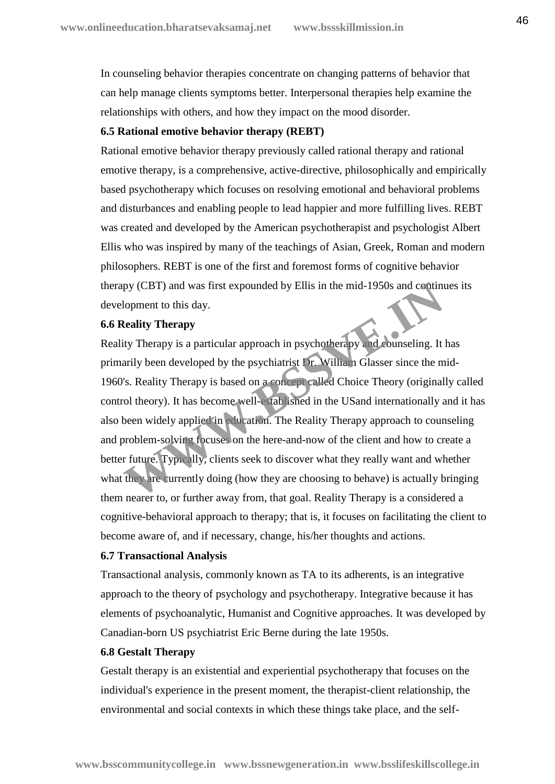In counseling behavior therapies concentrate on changing patterns of behavior that can help manage clients symptoms better. Interpersonal therapies help examine the relationships with others, and how they impact on the mood disorder.

#### **6.5 Rational emotive behavior therapy (REBT)**

Rational emotive behavior therapy previously called rational therapy and rational emotive therapy, is a comprehensive, active-directive, philosophically and empirically based psychotherapy which focuses on resolving emotional and behavioral problems and disturbances and enabling people to lead happier and more fulfilling lives. REBT was created and developed by the American psychotherapist and psychologist Albert Ellis who was inspired by many of the teachings of Asian, Greek, Roman and modern philosophers. REBT is one of the first and foremost forms of cognitive behavior therapy (CBT) and was first expounded by Ellis in the mid-1950s and continues its development to this day.

#### **6.6 Reality Therapy**

Reality Therapy is a particular approach in psychotherapy and counseling. It has primarily been developed by the psychiatrist Dr. William Glasser since the mid- 1960's. Reality Therapy is based on a concept called Choice Theory (originally called control theory). It has become well-established in the USand internationally and it has also been widely applied in education. The Reality Therapy approach to counseling and problem-solving focuses on the here-and-now of the client and how to create a better future. Typically, clients seek to discover what they really want and whether what they are currently doing (how they are choosing to behave) is actually bringing them nearer to, or further away from, that goal. Reality Therapy is a considered a cognitive-behavioral approach to therapy; that is, it focuses on facilitating the client to become aware of, and if necessary, change, his/her thoughts and actions. py (CBT) and was first expounded by Ellis in the mid-1950s and continuation<br>lopment to this day.<br>**Reality Therapy**<br>ity Therapy is a particular approach in psychotherapy and counseling. It<br>arily been developed by the psychi

#### **6.7 Transactional Analysis**

Transactional analysis, commonly known as TA to its adherents, is an integrative approach to the theory of psychology and psychotherapy. Integrative because it has elements of psychoanalytic, Humanist and Cognitive approaches. It was developed by Canadian-born US psychiatrist Eric Berne during the late 1950s.

#### **6.8 Gestalt Therapy**

Gestalt therapy is an existential and experiential psychotherapy that focuses on the individual's experience in the present moment, the therapist-client relationship, the environmental and social contexts in which these things take place, and the self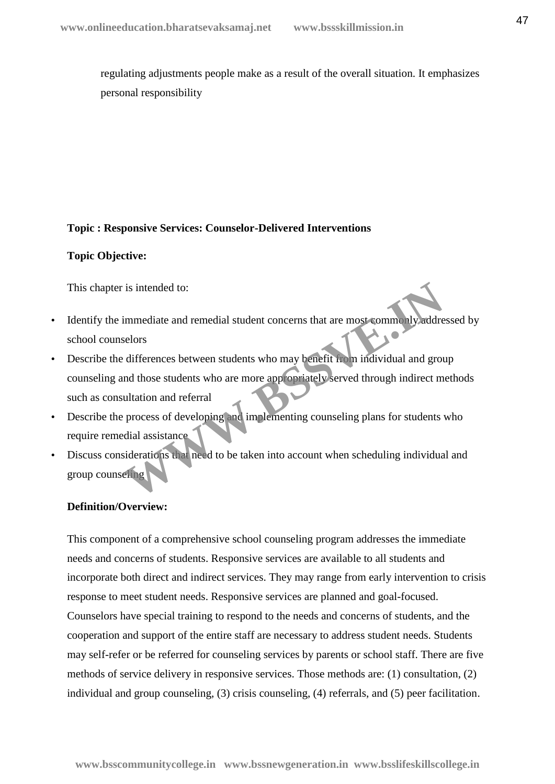regulating adjustments people make as a result of the overall situation. It emphasizes personal responsibility

#### **Topic : Responsive Services: Counselor-Delivered Interventions**

#### **Topic Objective:**

This chapter is intended to:

- Identify the immediate and remedial student concerns that are most commonly addressed by school counselors
- Describe the differences between students who may benefit from individual and group counseling and those students who are more appropriately served through indirect methods such as consultation and referral is intended to:<br>
immediate and remedial student concerns that are most commonly addressed<br>
relors<br>
differences between students who may benefit from individual and grou<br>
and those students who are more appropriately served
- Describe the process of developing and implementing counseling plans for students who require remedial assistance
- Discuss considerations that need to be taken into account when scheduling individual and group counseling

#### **Definition/Overview:**

This component of a comprehensive school counseling program addresses the immediate needs and concerns of students. Responsive services are available to all students and incorporate both direct and indirect services. They may range from early intervention to crisis response to meet student needs. Responsive services are planned and goal-focused. Counselors have special training to respond to the needs and concerns of students, and the cooperation and support of the entire staff are necessary to address student needs. Students may self-refer or be referred for counseling services by parents or school staff. There are five methods of service delivery in responsive services. Those methods are: (1) consultation, (2) individual and group counseling, (3) crisis counseling, (4) referrals, and (5) peer facilitation.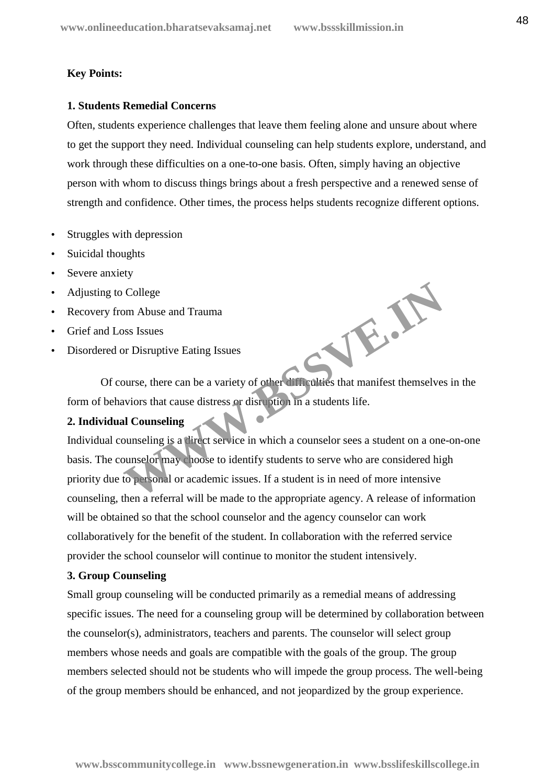# **Key Points:**

#### **1. Students Remedial Concerns**

Often, students experience challenges that leave them feeling alone and unsure about where to get the support they need. Individual counseling can help students explore, understand, and work through these difficulties on a one-to-one basis. Often, simply having an objective person with whom to discuss things brings about a fresh perspective and a renewed sense of strength and confidence. Other times, the process helps students recognize different options.

- Struggles with depression
- Suicidal thoughts
- Severe anxiety
- Adjusting to College
- Recovery from Abuse and Trauma
- Grief and Loss Issues
- Disordered or Disruptive Eating Issues

Of course, there can be a variety of other difficulties that manifest themselves in the form of behaviors that cause distress or disruption in a students life. WE.A.

#### **2. Individual Counseling**

Individual counseling is a direct service in which a counselor sees a student on a one-on-one basis. The counselor may choose to identify students to serve who are considered high priority due to personal or academic issues. If a student is in need of more intensive counseling, then a referral will be made to the appropriate agency. A release of information will be obtained so that the school counselor and the agency counselor can work collaboratively for the benefit of the student. In collaboration with the referred service provider the school counselor will continue to monitor the student intensively.

# **3. Group Counseling**

Small group counseling will be conducted primarily as a remedial means of addressing specific issues. The need for a counseling group will be determined by collaboration between the counselor(s), administrators, teachers and parents. The counselor will select group members whose needs and goals are compatible with the goals of the group. The group members selected should not be students who will impede the group process. The well-being of the group members should be enhanced, and not jeopardized by the group experience.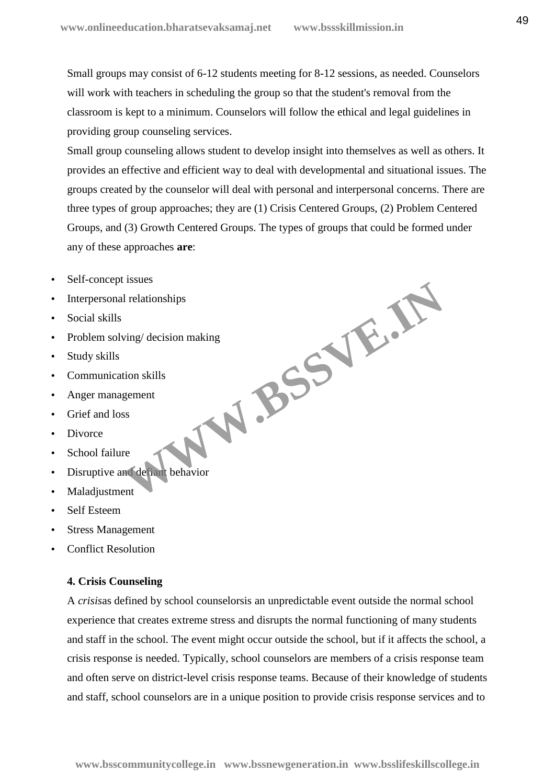Small groups may consist of 6-12 students meeting for 8-12 sessions, as needed. Counselors will work with teachers in scheduling the group so that the student's removal from the classroom is kept to a minimum. Counselors will follow the ethical and legal guidelines in providing group counseling services.

Small group counseling allows student to develop insight into themselves as well as others. It provides an effective and efficient way to deal with developmental and situational issues. The groups created by the counselor will deal with personal and interpersonal concerns. There are three types of group approaches; they are (1) Crisis Centered Groups, (2) Problem Centered Groups, and (3) Growth Centered Groups. The types of groups that could be formed under any of these approaches **are**:

- Self-concept issues
- Interpersonal relationships
- Social skills
- Problem solving/ decision making **WWW.BSSVE.IN**
- Study skills
- Communication skills
- Anger management
- Grief and loss
- Divorce
- School failure
- Disruptive and defiant behavior
- Maladjustment
- Self Esteem
- Stress Management
- Conflict Resolution

#### **4. Crisis Counseling**

A *crisis*as defined by school counselorsis an unpredictable event outside the normal school experience that creates extreme stress and disrupts the normal functioning of many students and staff in the school. The event might occur outside the school, but if it affects the school, a crisis response is needed. Typically, school counselors are members of a crisis response team and often serve on district-level crisis response teams. Because of their knowledge of students and staff, school counselors are in a unique position to provide crisis response services and to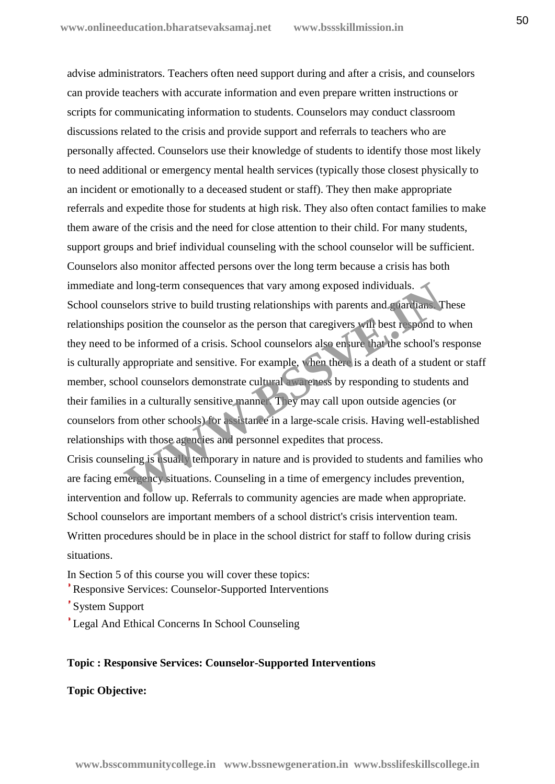advise administrators. Teachers often need support during and after a crisis, and counselors can provide teachers with accurate information and even prepare written instructions or scripts for communicating information to students. Counselors may conduct classroom discussions related to the crisis and provide support and referrals to teachers who are personally affected. Counselors use their knowledge of students to identify those most likely to need additional or emergency mental health services (typically those closest physically to an incident or emotionally to a deceased student or staff). They then make appropriate referrals and expedite those for students at high risk. They also often contact families to make them aware of the crisis and the need for close attention to their child. For many students, support groups and brief individual counseling with the school counselor will be sufficient. Counselors also monitor affected persons over the long term because a crisis has both immediate and long-term consequences that vary among exposed individuals. School counselors strive to build trusting relationships with parents and guardians. These relationships position the counselor as the person that caregivers will best respond to when they need to be informed of a crisis. School counselors also ensure that the school's response is culturally appropriate and sensitive. For example, when there is a death of a student or staff member, school counselors demonstrate cultural awareness by responding to students and their families in a culturally sensitive manner. They may call upon outside agencies (or counselors from other schools) for assistance in a large-scale crisis. Having well-established relationships with those agencies and personnel expedites that process. Crisis counseling is usually temporary in nature and is provided to students and families who are facing emergency situations. Counseling in a time of emergency includes prevention, intervention and follow up. Referrals to community agencies are made when appropriate. School counselors are important members of a school district's crisis intervention team. Written procedures should be in place in the school district for staff to follow during crisis nd long-term consequences that vary among exposed individuals.<br>
selors strive to build trusting relationships with parents and a tare and<br>
position the counselor as the person that caregivers will best respond to<br>
be infor

situations.

In Section 5 of this course you will cover these topics:

Responsive Services: Counselor-Supported Interventions

System Support

Legal And Ethical Concerns In School Counseling

#### **Topic : Responsive Services: Counselor-Supported Interventions**

**Topic Objective:**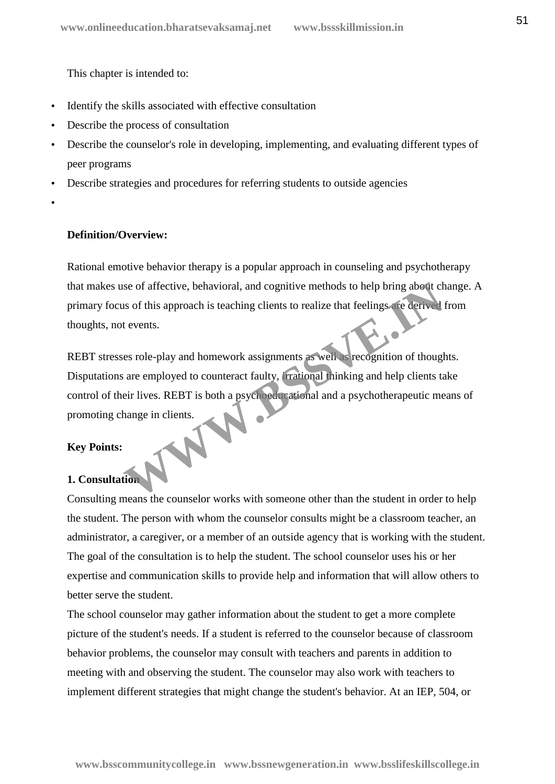This chapter is intended to:

- Identify the skills associated with effective consultation
- Describe the process of consultation
- Describe the counselor's role in developing, implementing, and evaluating different types of peer programs
- Describe strategies and procedures for referring students to outside agencies
- $\bullet$  and  $\bullet$

#### **Definition/Overview:**

Rational emotive behavior therapy is a popular approach in counseling and psychotherapy that makes use of affective, behavioral, and cognitive methods to help bring about change. A primary focus of this approach is teaching clients to realize that feelings are derived from thoughts, not events.

REBT stresses role-play and homework assignments as well as recognition of thoughts. Disputations are employed to counteract faulty, **fermional thinking and help clients take** control of their lives. REBT is both a psychoeducational and a psychotherapeutic means of promoting change in clients. See of affective, behavioral, and cognitive methods to help bring about chases of this approach is teaching clients to realize that feelings for derived tevents.<br>
Levents.<br>
We are employed to counteract faulty, **rrational** 

#### **Key Points:**

## **1. Consultation**

Consulting means the counselor works with someone other than the student in order to help the student. The person with whom the counselor consults might be a classroom teacher, an administrator, a caregiver, or a member of an outside agency that is working with the student. The goal of the consultation is to help the student. The school counselor uses his or her expertise and communication skills to provide help and information that will allow others to better serve the student.

The school counselor may gather information about the student to get a more complete picture of the student's needs. If a student is referred to the counselor because of classroom behavior problems, the counselor may consult with teachers and parents in addition to meeting with and observing the student. The counselor may also work with teachers to implement different strategies that might change the student's behavior. At an IEP, 504, or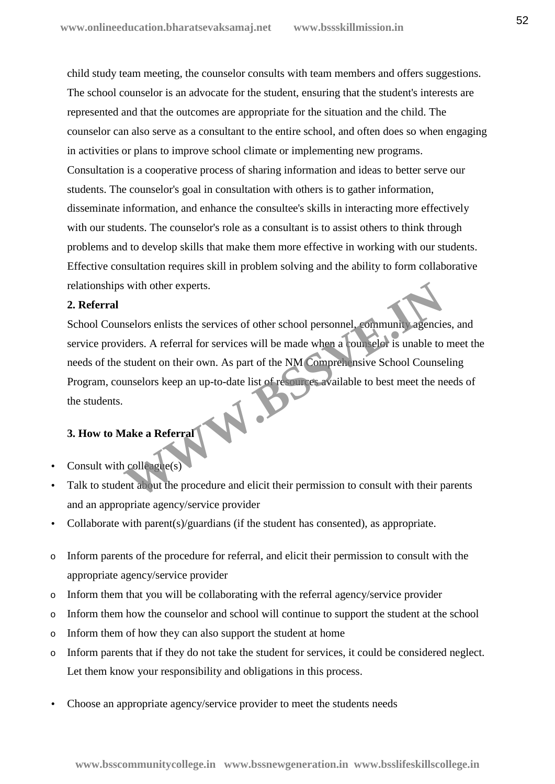child study team meeting, the counselor consults with team members and offers suggestions. The school counselor is an advocate for the student, ensuring that the student's interests are represented and that the outcomes are appropriate for the situation and the child. The counselor can also serve as a consultant to the entire school, and often does so when engaging in activities or plans to improve school climate or implementing new programs. Consultation is a cooperative process of sharing information and ideas to better serve our students. The counselor's goal in consultation with others is to gather information, disseminate information, and enhance the consultee's skills in interacting more effectively with our students. The counselor's role as a consultant is to assist others to think through problems and to develop skills that make them more effective in working with our students. Effective consultation requires skill in problem solving and the ability to form collaborative relationships with other experts.

#### **2. Referral**

School Counselors enlists the services of other school personnel, community agencies, and service providers. A referral for services will be made when a counselor is unable to meet the needs of the student on their own. As part of the NM Comprehensive School Counseling Program, counselors keep an up-to-date list of resources available to best meet the needs of the students. Which the experts.<br>
Inselors enlists the services of other school personnel. Community agencies<br>
iders. A referral for services will be made when a counselor is unable to<br>
student on their own. As part of the NM Comprehens

# **3. How to Make a Referral**

- Consult with colleague(s)
- Talk to student about the procedure and elicit their permission to consult with their parents and an appropriate agency/service provider
- Collaborate with parent(s)/guardians (if the student has consented), as appropriate.
- o Inform parents of the procedure for referral, and elicit their permission to consult with the appropriate agency/service provider
- o Inform them that you will be collaborating with the referral agency/service provider
- o Inform them how the counselor and school will continue to support the student at the school
- o Inform them of how they can also support the student at home
- o Inform parents that if they do not take the student for services, it could be considered neglect. Let them know your responsibility and obligations in this process.
- Choose an appropriate agency/service provider to meet the students needs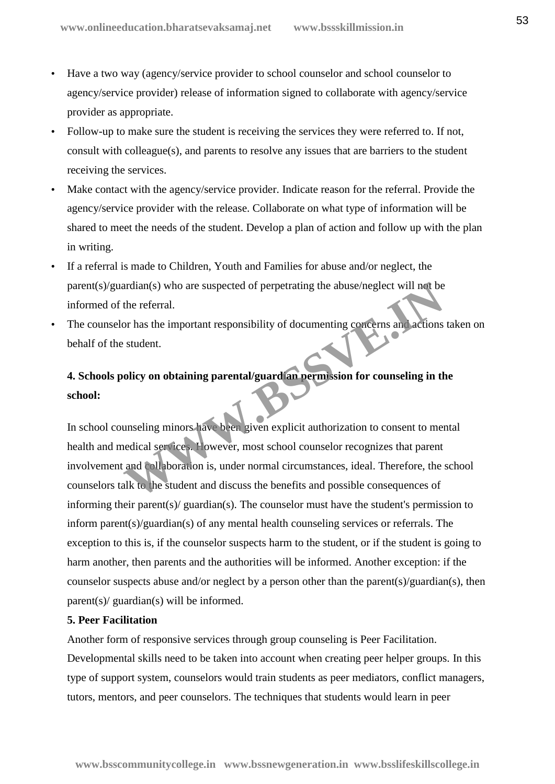- Have a two way (agency/service provider to school counselor and school counselor to agency/service provider) release of information signed to collaborate with agency/service provider as appropriate.
- Follow-up to make sure the student is receiving the services they were referred to. If not, consult with colleague(s), and parents to resolve any issues that are barriers to the student receiving the services.
- Make contact with the agency/service provider. Indicate reason for the referral. Provide the agency/service provider with the release. Collaborate on what type of information will be shared to meet the needs of the student. Develop a plan of action and follow up with the plan in writing.
- If a referral is made to Children, Youth and Families for abuse and/or neglect, the parent(s)/guardian(s) who are suspected of perpetrating the abuse/neglect will not be informed of the referral.
- The counselor has the important responsibility of documenting concerns and actions taken on behalf of the student.

# **4. Schools policy on obtaining parental/guardian permission for counseling in the school:**

In school counseling minors have been given explicit authorization to consent to mental health and medical services. However, most school counselor recognizes that parent involvement and collaboration is, under normal circumstances, ideal. Therefore, the school counselors talk to the student and discuss the benefits and possible consequences of informing their parent(s)/ guardian(s). The counselor must have the student's permission to inform parent(s)/guardian(s) of any mental health counseling services or referrals. The exception to this is, if the counselor suspects harm to the student, or if the student is going to harm another, then parents and the authorities will be informed. Another exception: if the counselor suspects abuse and/or neglect by a person other than the parent(s)/guardian(s), then parent(s)/ guardian(s) will be informed. ardian(s) who are suspected of perpetrating the abuse/neglect will not be<br>the referral.<br>or has the important responsibility of documenting concerns and actions<br>student.<br>olicy on obtaining parental/guard an permission for c

# **5. Peer Facilitation**

Another form of responsive services through group counseling is Peer Facilitation. Developmental skills need to be taken into account when creating peer helper groups. In this type of support system, counselors would train students as peer mediators, conflict managers, tutors, mentors, and peer counselors. The techniques that students would learn in peer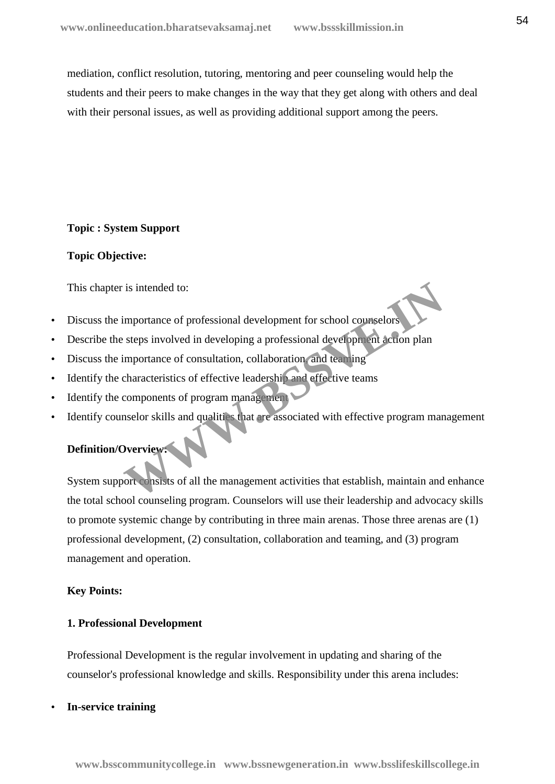mediation, conflict resolution, tutoring, mentoring and peer counseling would help the students and their peers to make changes in the way that they get along with others and deal with their personal issues, as well as providing additional support among the peers.

#### **Topic : System Support**

#### **Topic Objective:**

This chapter is intended to:

- Discuss the importance of professional development for school counselors
- Describe the steps involved in developing a professional development action plan
- Discuss the importance of consultation, collaboration, and teaming
- Identify the characteristics of effective leadership and effective teams
- Identify the components of program management
- Identify counselor skills and qualities that are associated with effective program management

# **Definition/Overview:**

System support consists of all the management activities that establish, maintain and enhance the total school counseling program. Counselors will use their leadership and advocacy skills to promote systemic change by contributing in three main arenas. Those three arenas are (1) professional development, (2) consultation, collaboration and teaming, and (3) program management and operation. is intended to:<br>
importance of professional development for school counselors<br>
steps involved in developing a professional development action plan<br>
importance of consultation, collaboration and teaming<br>
characteristics of

#### **Key Points:**

#### **1. Professional Development**

Professional Development is the regular involvement in updating and sharing of the counselor's professional knowledge and skills. Responsibility under this arena includes:

**In-service training**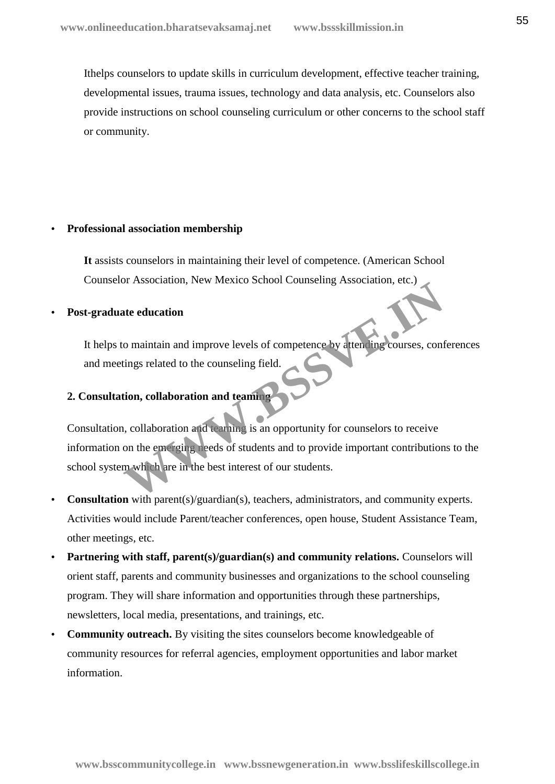Ithelps counselors to update skills in curriculum development, effective teacher training, developmental issues, trauma issues, technology and data analysis, etc. Counselors also provide instructions on school counseling curriculum or other concerns to the school staff or community.

#### **Professional association membership**

**It** assists counselors in maintaining their level of competence. (American School Counselor Association, New Mexico School Counseling Association, etc.)

#### **Post-graduate education**

It helps to maintain and improve levels of competence by attending courses, conferences and meetings related to the counseling field.

## **2. Consultation, collaboration and teaming**

Consultation, collaboration and teaming is an opportunity for counselors to receive information on the emerging needs of students and to provide important contributions to the school system which are in the best interest of our students. o maintain and improve levels of competence by aften line courses, contains related to the counseling field.<br> **WEW WARES SCIENCE AND THE COUPLANCE CONTAINS TO CONSTRUCT AND A CONSTRUCT CONSTRUCT AND A CONSTRUCT ON A CONSTR** 

- **Consultation** with parent(s)/guardian(s), teachers, administrators, and community experts. Activities would include Parent/teacher conferences, open house, Student Assistance Team, other meetings, etc.
- **Partnering with staff, parent(s)/guardian(s) and community relations.** Counselors will orient staff, parents and community businesses and organizations to the school counseling program. They will share information and opportunities through these partnerships, newsletters, local media, presentations, and trainings, etc.
- **Community outreach.** By visiting the sites counselors become knowledgeable of community resources for referral agencies, employment opportunities and labor market information.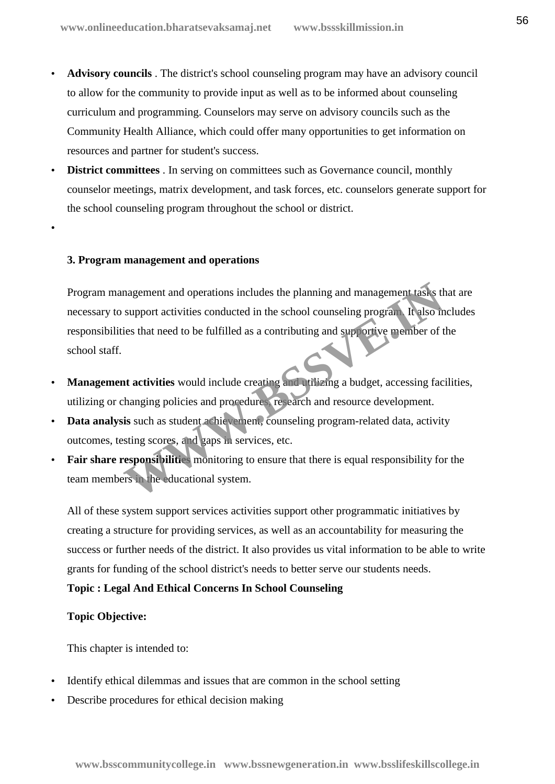- **Advisory councils** . The district's school counseling program may have an advisory council to allow for the community to provide input as well as to be informed about counseling curriculum and programming. Counselors may serve on advisory councils such as the Community Health Alliance, which could offer many opportunities to get information on resources and partner for student's success.
- **District committees** . In serving on committees such as Governance council, monthly counselor meetings, matrix development, and task forces, etc. counselors generate support for the school counseling program throughout the school or district.
- $\bullet$  and  $\bullet$

#### **3. Program management and operations**

Program management and operations includes the planning and management tasks that are necessary to support activities conducted in the school counseling program. It also includes responsibilities that need to be fulfilled as a contributing and supportive member of the school staff. magement and operations includes the planning and management tasks the support activities conducted in the school counseling program. It also means that need to be fulfilled as a contributing and supportive member of the s

- **Management activities** would include creating and utilizing a budget, accessing facilities, utilizing or changing policies and procedures, research and resource development.
- **Data analysis** such as student achievement, counseling program-related data, activity outcomes, testing scores, and gaps in services, etc.
- **Fair share responsibilities** monitoring to ensure that there is equal responsibility for the team members in the educational system.

All of these system support services activities support other programmatic initiatives by creating a structure for providing services, as well as an accountability for measuring the success or further needs of the district. It also provides us vital information to be able to write grants for funding of the school district's needs to better serve our students needs.

# **Topic : Legal And Ethical Concerns In School Counseling**

#### **Topic Objective:**

This chapter is intended to:

- Identify ethical dilemmas and issues that are common in the school setting
- Describe procedures for ethical decision making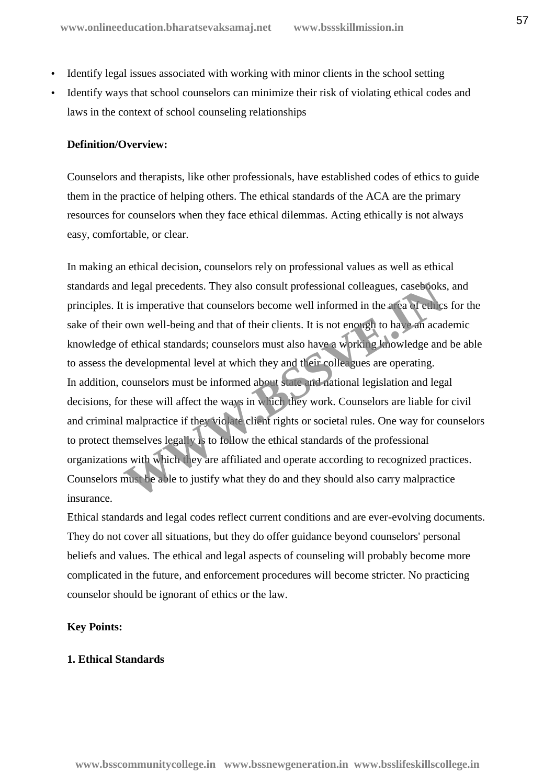- Identify legal issues associated with working with minor clients in the school setting
- Identify ways that school counselors can minimize their risk of violating ethical codes and laws in the context of school counseling relationships

#### **Definition/Overview:**

Counselors and therapists, like other professionals, have established codes of ethics to guide them in the practice of helping others. The ethical standards of the ACA are the primary resources for counselors when they face ethical dilemmas. Acting ethically is not always easy, comfortable, or clear.

In making an ethical decision, counselors rely on professional values as well as ethical standards and legal precedents. They also consult professional colleagues, casebooks, and principles. It is imperative that counselors become well informed in the area of ethics for the sake of their own well-being and that of their clients. It is not enough to have an academic knowledge of ethical standards; counselors must also have a working knowledge and be able to assess the developmental level at which they and their colleagues are operating. In addition, counselors must be informed about state and national legislation and legal decisions, for these will affect the ways in which they work. Counselors are liable for civil and criminal malpractice if they violate client rights or societal rules. One way for counselors to protect themselves legally is to follow the ethical standards of the professional organizations with which they are affiliated and operate according to recognized practices. Counselors must be able to justify what they do and they should also carry malpractice insurance. d legal precedents. They also consult professional colleagues, casebooks<br>is imperative that counselors become well informed in the at each curic<br>own well-being and that of their clients. It is not enough to have an acade<br>o

Ethical standards and legal codes reflect current conditions and are ever-evolving documents. They do not cover all situations, but they do offer guidance beyond counselors' personal beliefs and values. The ethical and legal aspects of counseling will probably become more complicated in the future, and enforcement procedures will become stricter. No practicing counselor should be ignorant of ethics or the law.

#### **Key Points:**

# **1. Ethical Standards**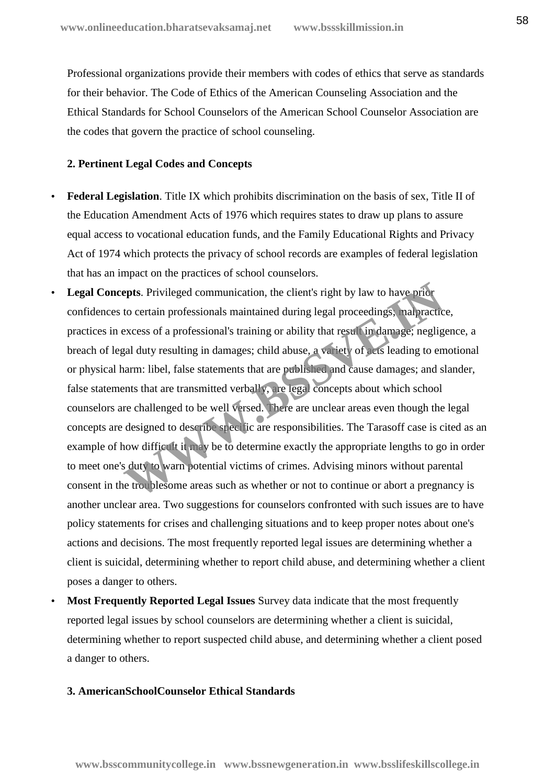Professional organizations provide their members with codes of ethics that serve as standards for their behavior. The Code of Ethics of the American Counseling Association and the Ethical Standards for School Counselors of the American School Counselor Association are the codes that govern the practice of school counseling.

## **2. Pertinent Legal Codes and Concepts**

- **Federal Legislation**. Title IX which prohibits discrimination on the basis of sex, Title II of the Education Amendment Acts of 1976 which requires states to draw up plans to assure equal access to vocational education funds, and the Family Educational Rights and Privacy Act of 1974 which protects the privacy of school records are examples of federal legislation that has an impact on the practices of school counselors.
- **Legal Concepts**. Privileged communication, the client's right by law to have prior confidences to certain professionals maintained during legal proceedings; malpractice, practices in excess of a professional's training or ability that result in damage; negligence, a breach of legal duty resulting in damages; child abuse, a variety of acts leading to emotional or physical harm: libel, false statements that are published and cause damages; and slander, false statements that are transmitted verbally, are legal concepts about which school counselors are challenged to be well versed. There are unclear areas even though the legal concepts are designed to describe specific are responsibilities. The Tarasoff case is cited as an example of how difficult it may be to determine exactly the appropriate lengths to go in order to meet one's duty to warn potential victims of crimes. Advising minors without parental consent in the troublesome areas such as whether or not to continue or abort a pregnancy is another unclear area. Two suggestions for counselors confronted with such issues are to have policy statements for crises and challenging situations and to keep proper notes about one's actions and decisions. The most frequently reported legal issues are determining whether a client is suicidal, determining whether to report child abuse, and determining whether a client poses a danger to others. **Example 18.** Privileged communication, the client's right by law to have prior to certain professionals maintained during legal proceedings, malpractic excess of a professional's training or ability that result in damage;
- **Most Frequently Reported Legal Issues** Survey data indicate that the most frequently reported legal issues by school counselors are determining whether a client is suicidal, determining whether to report suspected child abuse, and determining whether a client posed a danger to others.

#### **3. AmericanSchoolCounselor Ethical Standards**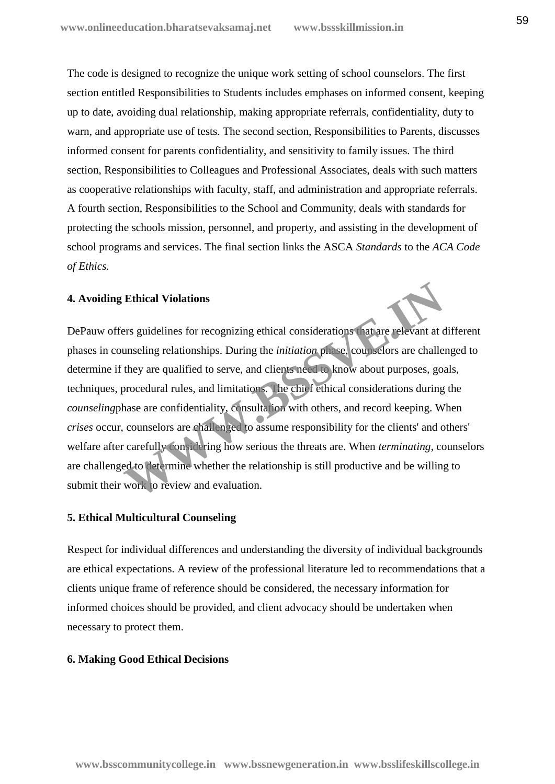The code is designed to recognize the unique work setting of school counselors. The first section entitled Responsibilities to Students includes emphases on informed consent, keeping up to date, avoiding dual relationship, making appropriate referrals, confidentiality, duty to warn, and appropriate use of tests. The second section, Responsibilities to Parents, discusses informed consent for parents confidentiality, and sensitivity to family issues. The third section, Responsibilities to Colleagues and Professional Associates, deals with such matters as cooperative relationships with faculty, staff, and administration and appropriate referrals. A fourth section, Responsibilities to the School and Community, deals with standards for protecting the schools mission, personnel, and property, and assisting in the development of school programs and services. The final section links the ASCA *Standards* to the *ACA Code of Ethics.*

#### **4. Avoiding Ethical Violations**

DePauw offers guidelines for recognizing ethical considerations that are relevant at different phases in counseling relationships. During the *initiation* phase, counselors are challenged to determine if they are qualified to serve, and clients need to know about purposes, goals, techniques, procedural rules, and limitations. The chief ethical considerations during the *counseling*phase are confidentiality, consultation with others, and record keeping. When *crises* occur, counselors are challenged to assume responsibility for the clients' and others' welfare after carefully considering how serious the threats are. When *terminating*, counselors are challenged to determine whether the relationship is still productive and be willing to submit their work to review and evaluation. Ethical Violations<br>
ers guidelines for recognizing ethical considerations hat are relevant at dunseling relationships. During the *initiation* phase, coupselors are challe<br>
they are qualified to serve, and clients need to

#### **5. Ethical Multicultural Counseling**

Respect for individual differences and understanding the diversity of individual backgrounds are ethical expectations. A review of the professional literature led to recommendations that a clients unique frame of reference should be considered, the necessary information for informed choices should be provided, and client advocacy should be undertaken when necessary to protect them.

#### **6. Making Good Ethical Decisions**